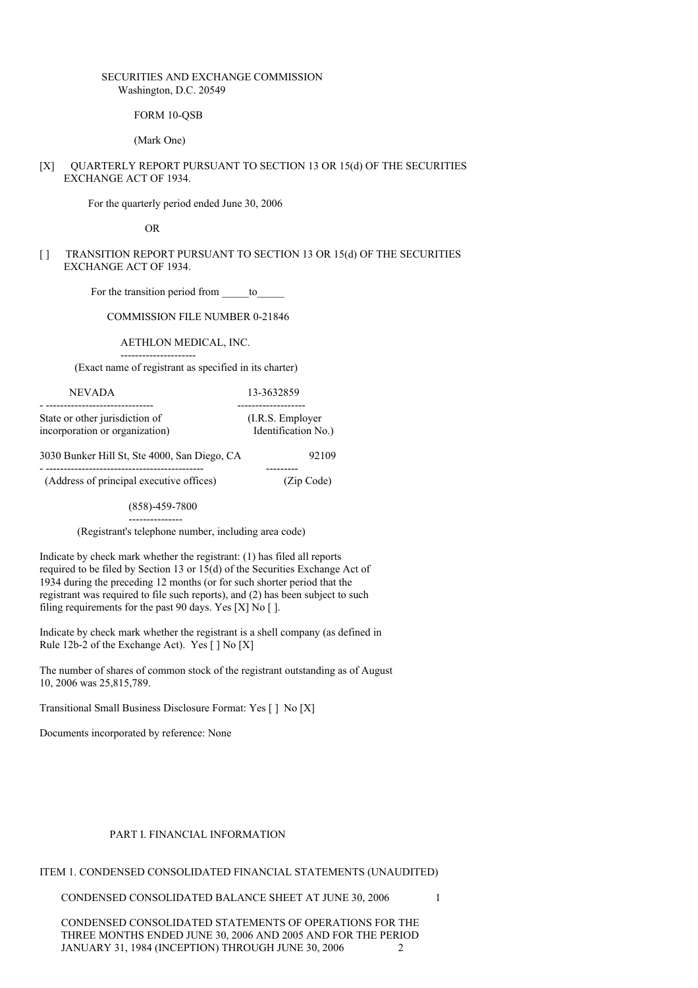#### SECURITIES AND EXCHANGE COMMISSION Washington, D.C. 20549

#### FORM 10-OSB

(Mark One)

[X] QUARTERLY REPORT PURSUANT TO SECTION 13 OR 15(d) OF THE SECURITIES EXCHANGE ACT OF 1934.

For the quarterly period ended June 30, 2006

OR

# [ ] TRANSITION REPORT PURSUANT TO SECTION 13 OR 15(d) OF THE SECURITIES EXCHANGE ACT OF 1934.

For the transition period from to

# COMMISSION FILE NUMBER 0-21846

AETHLON MEDICAL, INC.

---------------------

(Exact name of registrant as specified in its charter)

| NEVADA                                                           | 13-3632859                                |
|------------------------------------------------------------------|-------------------------------------------|
| State or other jurisdiction of<br>incorporation or organization) | $(I.R.S.$ Employer<br>Identification No.) |
| 3030 Bunker Hill St, Ste 4000, San Diego, CA                     | 92109                                     |
|                                                                  |                                           |

(Address of principal executive offices) (Zip Code)

(858)-459-7800 ---------------

(Registrant's telephone number, including area code)

Indicate by check mark whether the registrant: (1) has filed all reports required to be filed by Section 13 or 15(d) of the Securities Exchange Act of 1934 during the preceding 12 months (or for such shorter period that the registrant was required to file such reports), and (2) has been subject to such filing requirements for the past 90 days. Yes [X] No [ ].

Indicate by check mark whether the registrant is a shell company (as defined in Rule 12b-2 of the Exchange Act). Yes [ ] No [X]

The number of shares of common stock of the registrant outstanding as of August 10, 2006 was 25,815,789.

Transitional Small Business Disclosure Format: Yes [ ] No [X]

Documents incorporated by reference: None

#### PART I. FINANCIAL INFORMATION

ITEM 1. CONDENSED CONSOLIDATED FINANCIAL STATEMENTS (UNAUDITED)

CONDENSED CONSOLIDATED BALANCE SHEET AT JUNE 30, 2006 1

CONDENSED CONSOLIDATED STATEMENTS OF OPERATIONS FOR THE THREE MONTHS ENDED JUNE 30, 2006 AND 2005 AND FOR THE PERIOD JANUARY 31, 1984 (INCEPTION) THROUGH JUNE 30, 2006 2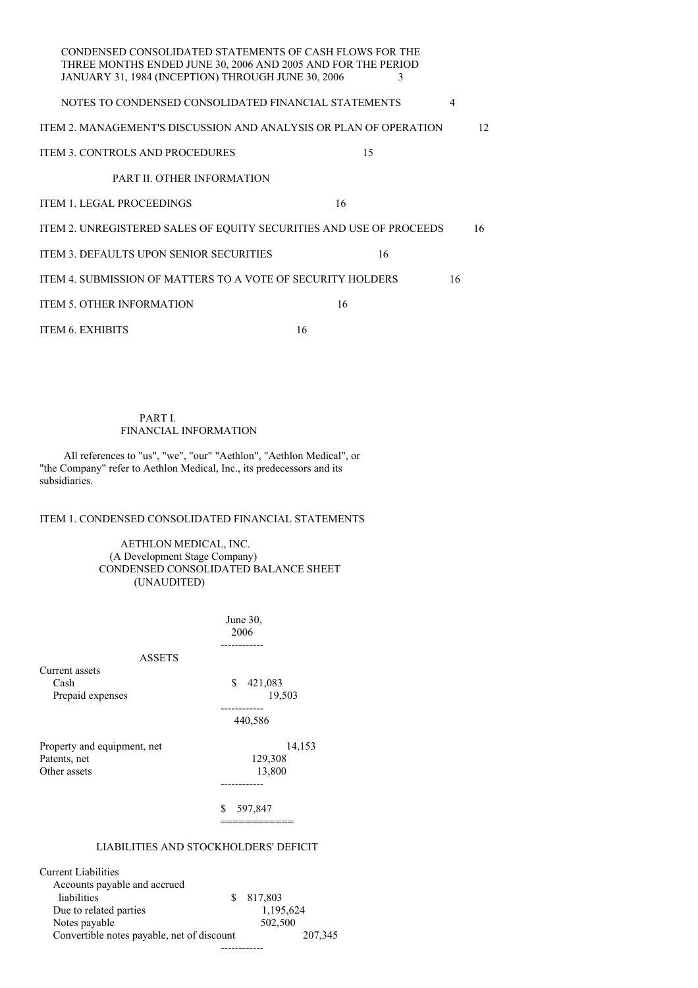| CONDENSED CONSOLIDATED STATEMENTS OF CASH FLOWS FOR THE<br>THREE MONTHS ENDED JUNE 30, 2006 AND 2005 AND FOR THE PERIOD<br>JANUARY 31, 1984 (INCEPTION) THROUGH JUNE 30, 2006 | 3  |                          |    |
|-------------------------------------------------------------------------------------------------------------------------------------------------------------------------------|----|--------------------------|----|
| NOTES TO CONDENSED CONSOLIDATED FINANCIAL STATEMENTS                                                                                                                          |    | $\overline{\mathcal{A}}$ |    |
| ITEM 2. MANAGEMENT'S DISCUSSION AND ANALYSIS OR PLAN OF OPERATION                                                                                                             |    |                          | 12 |
| <b>ITEM 3. CONTROLS AND PROCEDURES</b>                                                                                                                                        | 15 |                          |    |
| PART II. OTHER INFORMATION                                                                                                                                                    |    |                          |    |
| <b>ITEM 1. LEGAL PROCEEDINGS</b>                                                                                                                                              | 16 |                          |    |
| ITEM 2. UNREGISTERED SALES OF EQUITY SECURITIES AND USE OF PROCEEDS                                                                                                           |    |                          | 16 |
| <b>ITEM 3. DEFAULTS UPON SENIOR SECURITIES</b>                                                                                                                                | 16 |                          |    |
| ITEM 4. SUBMISSION OF MATTERS TO A VOTE OF SECURITY HOLDERS                                                                                                                   |    | 16                       |    |
| <b>ITEM 5. OTHER INFORMATION</b>                                                                                                                                              | 16 |                          |    |
| <b>ITEM 6. EXHIBITS</b>                                                                                                                                                       | 16 |                          |    |

# PART I. FINANCIAL INFORMATION

All references to "us", "we", "our" "Aethlon", "Aethlon Medical", or "the Company" refer to Aethlon Medical, Inc., its predecessors and its subsidiaries.

# ITEM 1. CONDENSED CONSOLIDATED FINANCIAL STATEMENTS

AETHLON MEDICAL, INC. (A Development Stage Company) CONDENSED CONSOLIDATED BALANCE SHEET (UNAUDITED)

|                                                            | June 30,<br>2006        |  |  |
|------------------------------------------------------------|-------------------------|--|--|
| <b>ASSETS</b>                                              | -----------             |  |  |
| Current assets                                             |                         |  |  |
| Cash<br>Prepaid expenses                                   | \$<br>421,083<br>19,503 |  |  |
|                                                            | -----------<br>440,586  |  |  |
| Property and equipment, net                                | 14,153                  |  |  |
| Patents, net                                               | 129,308                 |  |  |
| Other assets                                               | 13,800<br>----------    |  |  |
|                                                            | \$<br>597,847           |  |  |
| LIABILITIES AND STOCKHOLDERS' DEFICIT                      |                         |  |  |
| <b>Current Liabilities</b><br>Accounts payable and accrued |                         |  |  |

| Convertible notes payable, net of discount     |    | 207,345   |  |
|------------------------------------------------|----|-----------|--|
| Notes payable                                  |    | 502,500   |  |
| Due to related parties                         |    | 1,195,624 |  |
| liabilities                                    | S. | 817,803   |  |
| $1.1000$ and $1.0000$ and $1.0000$ and $1.000$ |    |           |  |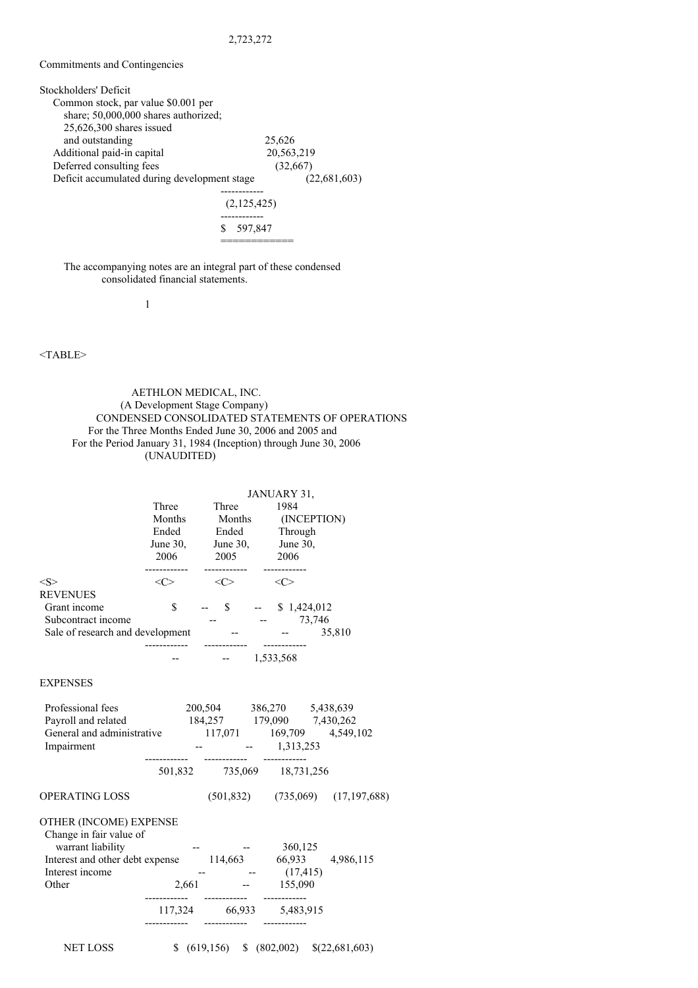Commitments and Contingencies

Stockholders' Deficit Common stock, par value \$0.001 per share; 50,000,000 shares authorized; 25,626,300 shares issued and outstanding 25,626<br>dditional paid-in capital 20,563,219 Additional paid-in capital 20,563,219<br>Deferred consulting fees (32,667) Deferred consulting fees Deficit accumulated during development stage (22,681,603) ------------ (2,125,425) ------------ \$ 597,847 ============

The accompanying notes are an integral part of these condensed consolidated financial statements.

1

<TABLE>

# AETHLON MEDICAL, INC. (A Development Stage Company) CONDENSED CONSOLIDATED STATEMENTS OF OPERATIONS For the Three Months Ended June 30, 2006 and 2005 and For the Period January 31, 1984 (Inception) through June 30, 2006 (UNAUDITED)

|                                                                                                                                                                                                   | Three                 | Three<br>Months Months (INCEPTION)<br>Ended Ended Through<br>June 30, June 30, June 30,<br>2006 2005 2006 | JANUARY 31,<br>1984 |                                        |
|---------------------------------------------------------------------------------------------------------------------------------------------------------------------------------------------------|-----------------------|-----------------------------------------------------------------------------------------------------------|---------------------|----------------------------------------|
| <s></s>                                                                                                                                                                                           | $\langle$ C $\rangle$ | $\langle C \rangle$ $\langle C \rangle$                                                                   |                     |                                        |
| <b>REVENUES</b>                                                                                                                                                                                   |                       |                                                                                                           |                     |                                        |
| Grant income                                                                                                                                                                                      |                       | $\$\quad -\quad \$\quad -\quad \quad \$\quad 1,424,012$                                                   |                     |                                        |
|                                                                                                                                                                                                   |                       |                                                                                                           |                     |                                        |
| Subcontract income - - - 73,746<br>Sale of research and development - - 35                                                                                                                        |                       |                                                                                                           |                     | 35,810                                 |
|                                                                                                                                                                                                   |                       | $  1,533,568$                                                                                             |                     |                                        |
| <b>EXPENSES</b>                                                                                                                                                                                   |                       |                                                                                                           |                     |                                        |
| Professional fees<br>Payroll and related<br>$184,257$<br>$179,090$<br>$7,430,262$<br>General and administrative<br>$117,071$<br>$169,709$<br>$4,549,102$<br>Impormant<br>$1313,253$<br>Impairment |                       | $  1,313,253$<br>-- -- -- --<br>----------- -----------                                                   |                     |                                        |
|                                                                                                                                                                                                   |                       | 501,832 735,069 18,731,256                                                                                |                     |                                        |
| <b>OPERATING LOSS</b>                                                                                                                                                                             |                       |                                                                                                           |                     | $(501,832)$ $(735,069)$ $(17,197,688)$ |
| OTHER (INCOME) EXPENSE<br>Change in fair value of<br>warrant liability<br>Interest and other debt expense 114,663 66,933 4,986,115<br>Interest income - (17,415)<br>Other 2,661 - 155,090         |                       | -----------  -----------  -----------<br>117,324 66,933 5,483,915                                         | $-360,125$          |                                        |
|                                                                                                                                                                                                   |                       |                                                                                                           |                     |                                        |
| <b>NET LOSS</b>                                                                                                                                                                                   |                       | $$ (619, 156) \quad $ (802, 002) \quad $ (22, 681, 603)$                                                  |                     |                                        |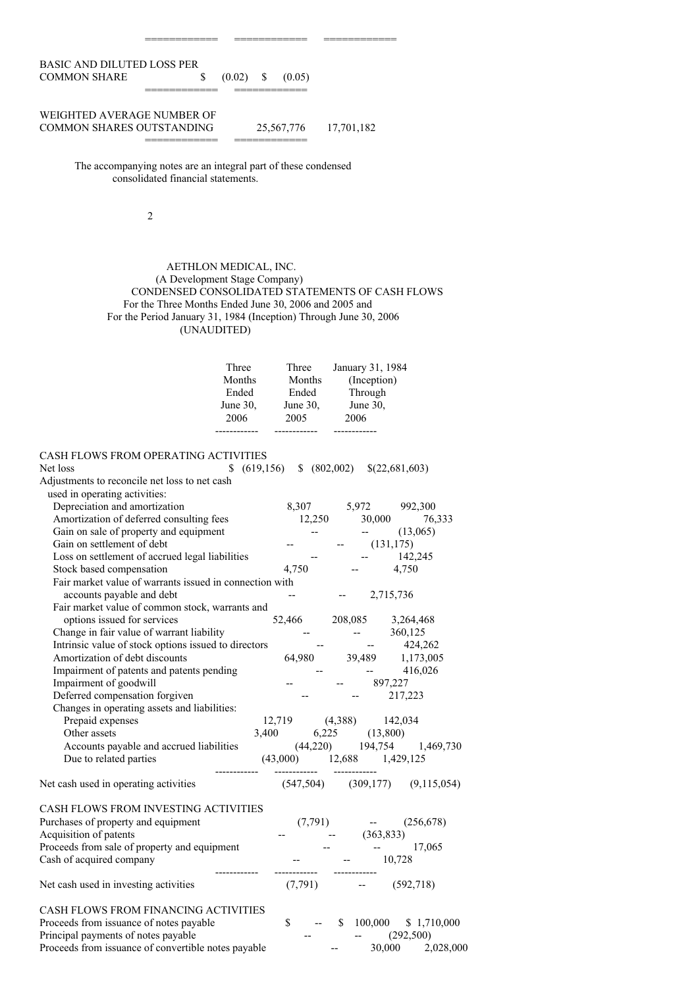BASIC AND DILUTED LOSS PER COMMON SHARE \$ COMMON SHARE \$ (0.02) \$ (0.05) ============ ============

WEIGHTED AVERAGE NUMBER OF COMMON SHARES OUTSTANDING 25,567,776 17,701,182 ============ ============

> The accompanying notes are an integral part of these condensed consolidated financial statements.

> > 2

# AETHLON MEDICAL, INC. (A Development Stage Company) CONDENSED CONSOLIDATED STATEMENTS OF CASH FLOWS For the Three Months Ended June 30, 2006 and 2005 and For the Period January 31, 1984 (Inception) Through June 30, 2006 (UNAUDITED)

============ ============ ============

| Three<br>Months<br>Ended<br>June 30,<br>2006                                        |       | Three<br>Months<br>Ended<br>June $30$ ,<br>2005     | January 31, 1984<br>(Inception)<br>Through<br>June 30,<br>2006 |                                       |
|-------------------------------------------------------------------------------------|-------|-----------------------------------------------------|----------------------------------------------------------------|---------------------------------------|
| CASH FLOWS FROM OPERATING ACTIVITIES                                                |       |                                                     |                                                                |                                       |
| Net loss                                                                            |       |                                                     | $$ (619, 156) \quad $ (802, 002) \quad $ (22, 681, 603)$       |                                       |
| Adjustments to reconcile net loss to net cash                                       |       |                                                     |                                                                |                                       |
| used in operating activities:                                                       |       |                                                     |                                                                |                                       |
| Depreciation and amortization                                                       |       |                                                     |                                                                | 8,307 5,972 992,300                   |
| Amortization of deferred consulting fees                                            |       | 12,250                                              |                                                                | 30,000<br>76,333                      |
| Gain on sale of property and equipment                                              |       |                                                     |                                                                | (13,065)                              |
| Gain on settlement of debt                                                          |       |                                                     |                                                                | (131, 175)                            |
| Loss on settlement of accrued legal liabilities                                     |       |                                                     |                                                                | 142,245<br>4.750                      |
| Stock based compensation<br>Fair market value of warrants issued in connection with |       | 4,750                                               |                                                                |                                       |
| accounts payable and debt                                                           |       |                                                     |                                                                | 2,715,736                             |
| Fair market value of common stock, warrants and                                     |       |                                                     |                                                                |                                       |
| options issued for services                                                         |       |                                                     | 52,466 208,085                                                 | 3,264,468                             |
| Change in fair value of warrant liability                                           |       | $\hspace{0.05cm} -\hspace{0.05cm} -\hspace{0.05cm}$ | $-360,125$                                                     |                                       |
| Intrinsic value of stock options issued to directors                                |       |                                                     | $\sim 100$ km s $^{-1}$                                        | $-424,262$<br>39,489 $1,173,005$      |
| Amortization of debt discounts                                                      |       | 64,980                                              |                                                                |                                       |
| Impairment of patents and patents pending                                           |       |                                                     |                                                                | 416,026                               |
| Impairment of goodwill                                                              |       |                                                     |                                                                | 897,227                               |
| Deferred compensation forgiven                                                      |       |                                                     |                                                                | 217,223                               |
| Changes in operating assets and liabilities:<br>Prepaid expenses                    |       |                                                     | 12,719 (4,388) 142,034                                         |                                       |
| Other assets                                                                        | 3,400 |                                                     | $6,225$ $(13,800)$                                             |                                       |
| Accounts payable and accrued liabilities                                            |       |                                                     | $(44,220)$ 194,754                                             | 1,469,730                             |
| Due to related parties                                                              |       |                                                     | $(43,000)$ 12,688 1,429,125                                    |                                       |
| Net cash used in operating activities                                               |       | ------------                                        |                                                                | $(547,504)$ $(309,177)$ $(9,115,054)$ |
| <b>CASH FLOWS FROM INVESTING ACTIVITIES</b>                                         |       |                                                     |                                                                |                                       |
| Purchases of property and equipment                                                 |       | (7,791)                                             | $\mathcal{L}_{\text{max}}$ and $\mathcal{L}_{\text{max}}$      | (256, 678)                            |
| Acquisition of patents                                                              |       |                                                     |                                                                | (363,833)                             |
| Proceeds from sale of property and equipment                                        |       |                                                     |                                                                | 17,065                                |
| Cash of acquired company                                                            |       |                                                     | ------------                                                   | 10,728                                |
| Net cash used in investing activities                                               |       | (7,791)                                             | $\overline{\phantom{a}}$                                       | (592,718)                             |
| <b>CASH FLOWS FROM FINANCING ACTIVITIES</b>                                         |       |                                                     |                                                                |                                       |
| Proceeds from issuance of notes payable                                             | \$    |                                                     | \$                                                             | 100,000 \$ 1,710,000                  |
| Principal payments of notes payable                                                 |       |                                                     |                                                                | (292, 500)                            |
| Proceeds from issuance of convertible notes payable                                 |       |                                                     |                                                                | 30,000 2,028,000                      |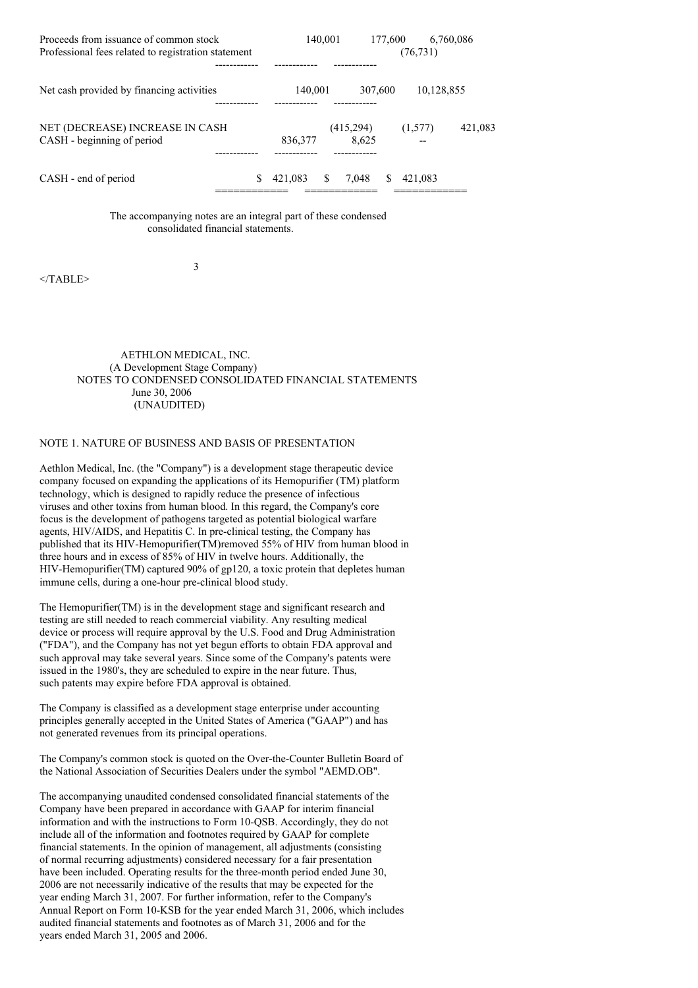| Proceeds from issuance of common stock<br>Professional fees related to registration statement |   |         | 140,001 |                    | 177,600 | (76, 731)  | 6,760,086 |
|-----------------------------------------------------------------------------------------------|---|---------|---------|--------------------|---------|------------|-----------|
| Net cash provided by financing activities                                                     |   | 140,001 |         | 307,600            |         | 10,128,855 |           |
| NET (DECREASE) INCREASE IN CASH<br>CASH - beginning of period                                 |   | 836,377 |         | (415,294)<br>8.625 |         | (1,577)    | 421,083   |
| CASH - end of period                                                                          | S | 421,083 | S       | 7,048              |         | 421,083    |           |

The accompanying notes are an integral part of these condensed consolidated financial statements.

 $<$ /TABLE>

3

AETHLON MEDICAL, INC. (A Development Stage Company) NOTES TO CONDENSED CONSOLIDATED FINANCIAL STATEMENTS June 30, 2006 (UNAUDITED)

# NOTE 1. NATURE OF BUSINESS AND BASIS OF PRESENTATION

Aethlon Medical, Inc. (the "Company") is a development stage therapeutic device company focused on expanding the applications of its Hemopurifier (TM) platform technology, which is designed to rapidly reduce the presence of infectious viruses and other toxins from human blood. In this regard, the Company's core focus is the development of pathogens targeted as potential biological warfare agents, HIV/AIDS, and Hepatitis C. In pre-clinical testing, the Company has published that its HIV-Hemopurifier(TM)removed 55% of HIV from human blood in three hours and in excess of 85% of HIV in twelve hours. Additionally, the HIV-Hemopurifier(TM) captured 90% of gp120, a toxic protein that depletes human immune cells, during a one-hour pre-clinical blood study.

The Hemopurifier(TM) is in the development stage and significant research and testing are still needed to reach commercial viability. Any resulting medical device or process will require approval by the U.S. Food and Drug Administration ("FDA"), and the Company has not yet begun efforts to obtain FDA approval and such approval may take several years. Since some of the Company's patents were issued in the 1980's, they are scheduled to expire in the near future. Thus, such patents may expire before FDA approval is obtained.

The Company is classified as a development stage enterprise under accounting principles generally accepted in the United States of America ("GAAP") and has not generated revenues from its principal operations.

The Company's common stock is quoted on the Over-the-Counter Bulletin Board of the National Association of Securities Dealers under the symbol "AEMD.OB".

The accompanying unaudited condensed consolidated financial statements of the Company have been prepared in accordance with GAAP for interim financial information and with the instructions to Form 10-QSB. Accordingly, they do not include all of the information and footnotes required by GAAP for complete financial statements. In the opinion of management, all adjustments (consisting of normal recurring adjustments) considered necessary for a fair presentation have been included. Operating results for the three-month period ended June 30, 2006 are not necessarily indicative of the results that may be expected for the year ending March 31, 2007. For further information, refer to the Company's Annual Report on Form 10-KSB for the year ended March 31, 2006, which includes audited financial statements and footnotes as of March 31, 2006 and for the years ended March 31, 2005 and 2006.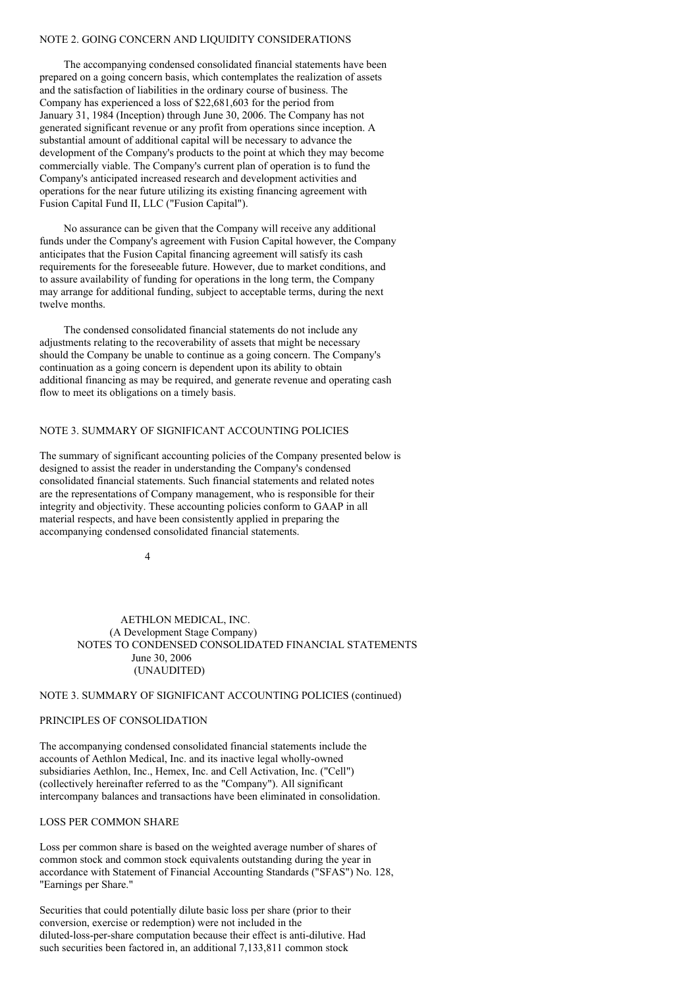### NOTE 2. GOING CONCERN AND LIQUIDITY CONSIDERATIONS

The accompanying condensed consolidated financial statements have been prepared on a going concern basis, which contemplates the realization of assets and the satisfaction of liabilities in the ordinary course of business. The Company has experienced a loss of \$22,681,603 for the period from January 31, 1984 (Inception) through June 30, 2006. The Company has not generated significant revenue or any profit from operations since inception. A substantial amount of additional capital will be necessary to advance the development of the Company's products to the point at which they may become commercially viable. The Company's current plan of operation is to fund the Company's anticipated increased research and development activities and operations for the near future utilizing its existing financing agreement with Fusion Capital Fund II, LLC ("Fusion Capital").

No assurance can be given that the Company will receive any additional funds under the Company's agreement with Fusion Capital however, the Company anticipates that the Fusion Capital financing agreement will satisfy its cash requirements for the foreseeable future. However, due to market conditions, and to assure availability of funding for operations in the long term, the Company may arrange for additional funding, subject to acceptable terms, during the next twelve months.

The condensed consolidated financial statements do not include any adjustments relating to the recoverability of assets that might be necessary should the Company be unable to continue as a going concern. The Company's continuation as a going concern is dependent upon its ability to obtain additional financing as may be required, and generate revenue and operating cash flow to meet its obligations on a timely basis.

# NOTE 3. SUMMARY OF SIGNIFICANT ACCOUNTING POLICIES

The summary of significant accounting policies of the Company presented below is designed to assist the reader in understanding the Company's condensed consolidated financial statements. Such financial statements and related notes are the representations of Company management, who is responsible for their integrity and objectivity. These accounting policies conform to GAAP in all material respects, and have been consistently applied in preparing the accompanying condensed consolidated financial statements.

4

AETHLON MEDICAL, INC. (A Development Stage Company) NOTES TO CONDENSED CONSOLIDATED FINANCIAL STATEMENTS June 30, 2006 (UNAUDITED)

## NOTE 3. SUMMARY OF SIGNIFICANT ACCOUNTING POLICIES (continued)

### PRINCIPLES OF CONSOLIDATION

The accompanying condensed consolidated financial statements include the accounts of Aethlon Medical, Inc. and its inactive legal wholly-owned subsidiaries Aethlon, Inc., Hemex, Inc. and Cell Activation, Inc. ("Cell") (collectively hereinafter referred to as the "Company"). All significant intercompany balances and transactions have been eliminated in consolidation.

# LOSS PER COMMON SHARE

Loss per common share is based on the weighted average number of shares of common stock and common stock equivalents outstanding during the year in accordance with Statement of Financial Accounting Standards ("SFAS") No. 128, "Earnings per Share."

Securities that could potentially dilute basic loss per share (prior to their conversion, exercise or redemption) were not included in the diluted-loss-per-share computation because their effect is anti-dilutive. Had such securities been factored in, an additional 7,133,811 common stock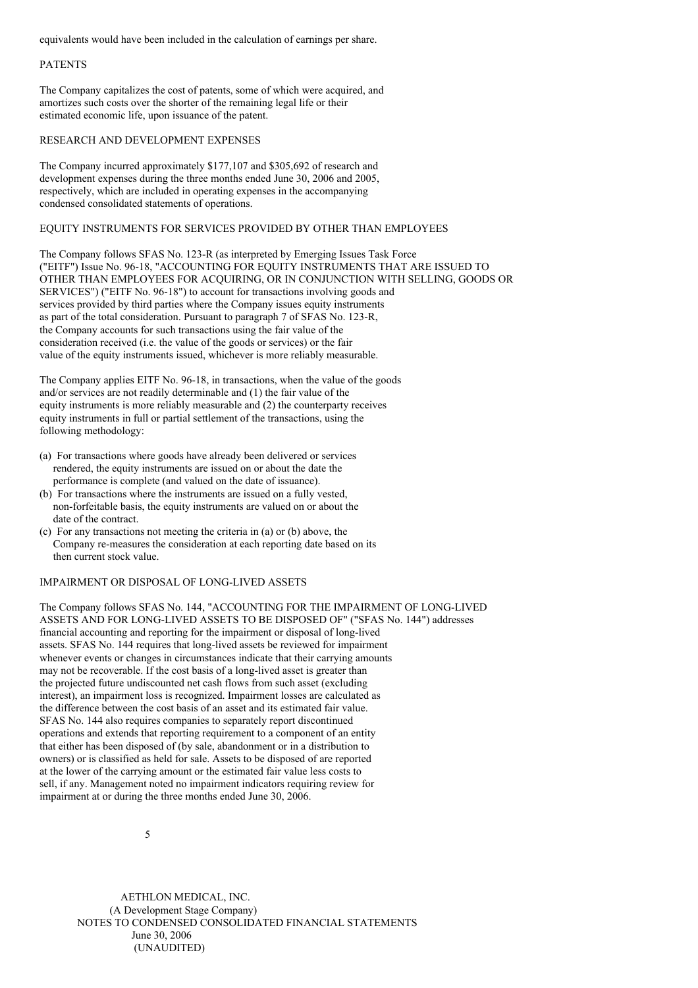equivalents would have been included in the calculation of earnings per share.

#### PATENTS

The Company capitalizes the cost of patents, some of which were acquired, and amortizes such costs over the shorter of the remaining legal life or their estimated economic life, upon issuance of the patent.

#### RESEARCH AND DEVELOPMENT EXPENSES

The Company incurred approximately \$177,107 and \$305,692 of research and development expenses during the three months ended June 30, 2006 and 2005, respectively, which are included in operating expenses in the accompanying condensed consolidated statements of operations.

# EQUITY INSTRUMENTS FOR SERVICES PROVIDED BY OTHER THAN EMPLOYEES

The Company follows SFAS No. 123-R (as interpreted by Emerging Issues Task Force ("EITF") Issue No. 96-18, "ACCOUNTING FOR EQUITY INSTRUMENTS THAT ARE ISSUED TO OTHER THAN EMPLOYEES FOR ACQUIRING, OR IN CONJUNCTION WITH SELLING, GOODS OR SERVICES") ("EITF No. 96-18") to account for transactions involving goods and services provided by third parties where the Company issues equity instruments as part of the total consideration. Pursuant to paragraph 7 of SFAS No. 123-R, the Company accounts for such transactions using the fair value of the consideration received (i.e. the value of the goods or services) or the fair value of the equity instruments issued, whichever is more reliably measurable.

The Company applies EITF No. 96-18, in transactions, when the value of the goods and/or services are not readily determinable and (1) the fair value of the equity instruments is more reliably measurable and (2) the counterparty receives equity instruments in full or partial settlement of the transactions, using the following methodology:

- (a) For transactions where goods have already been delivered or services rendered, the equity instruments are issued on or about the date the performance is complete (and valued on the date of issuance).
- (b) For transactions where the instruments are issued on a fully vested, non-forfeitable basis, the equity instruments are valued on or about the date of the contract.
- (c) For any transactions not meeting the criteria in (a) or (b) above, the Company re-measures the consideration at each reporting date based on its then current stock value.

# IMPAIRMENT OR DISPOSAL OF LONG-LIVED ASSETS

The Company follows SFAS No. 144, "ACCOUNTING FOR THE IMPAIRMENT OF LONG-LIVED ASSETS AND FOR LONG-LIVED ASSETS TO BE DISPOSED OF" ("SFAS No. 144") addresses financial accounting and reporting for the impairment or disposal of long-lived assets. SFAS No. 144 requires that long-lived assets be reviewed for impairment whenever events or changes in circumstances indicate that their carrying amounts may not be recoverable. If the cost basis of a long-lived asset is greater than the projected future undiscounted net cash flows from such asset (excluding interest), an impairment loss is recognized. Impairment losses are calculated as the difference between the cost basis of an asset and its estimated fair value. SFAS No. 144 also requires companies to separately report discontinued operations and extends that reporting requirement to a component of an entity that either has been disposed of (by sale, abandonment or in a distribution to owners) or is classified as held for sale. Assets to be disposed of are reported at the lower of the carrying amount or the estimated fair value less costs to sell, if any. Management noted no impairment indicators requiring review for impairment at or during the three months ended June 30, 2006.

5

AETHLON MEDICAL, INC. (A Development Stage Company) NOTES TO CONDENSED CONSOLIDATED FINANCIAL STATEMENTS June 30, 2006 (UNAUDITED)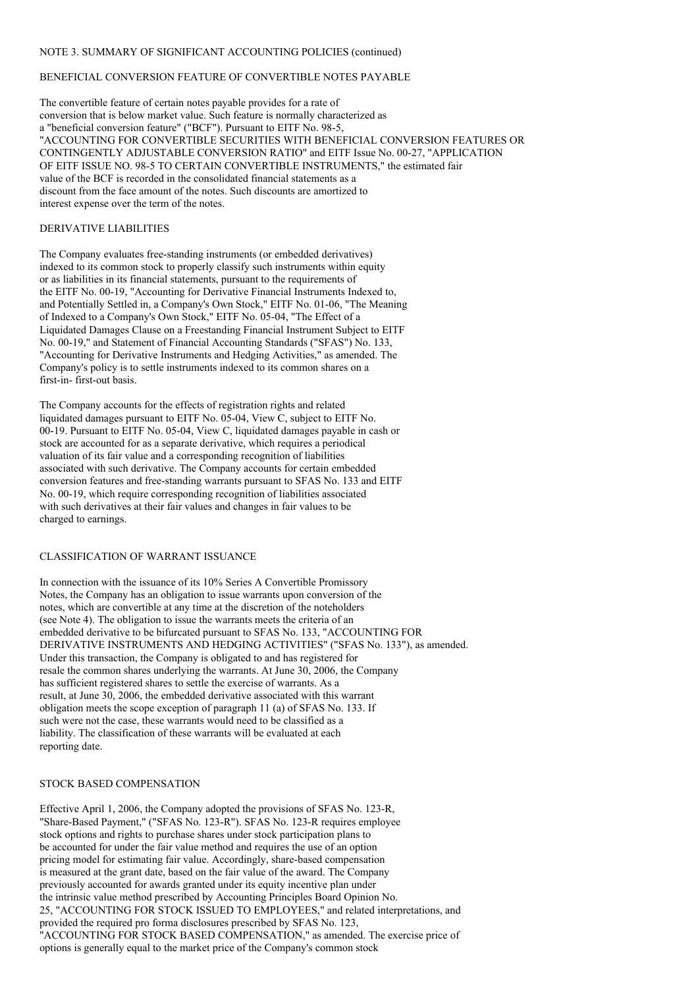#### NOTE 3. SUMMARY OF SIGNIFICANT ACCOUNTING POLICIES (continued)

# BENEFICIAL CONVERSION FEATURE OF CONVERTIBLE NOTES PAYABLE

The convertible feature of certain notes payable provides for a rate of conversion that is below market value. Such feature is normally characterized as a "beneficial conversion feature" ("BCF"). Pursuant to EITF No. 98-5, "ACCOUNTING FOR CONVERTIBLE SECURITIES WITH BENEFICIAL CONVERSION FEATURES OR CONTINGENTLY ADJUSTABLE CONVERSION RATIO" and EITF Issue No. 00-27, "APPLICATION OF EITF ISSUE NO. 98-5 TO CERTAIN CONVERTIBLE INSTRUMENTS," the estimated fair value of the BCF is recorded in the consolidated financial statements as a discount from the face amount of the notes. Such discounts are amortized to interest expense over the term of the notes.

# DERIVATIVE LIABILITIES

The Company evaluates free-standing instruments (or embedded derivatives) indexed to its common stock to properly classify such instruments within equity or as liabilities in its financial statements, pursuant to the requirements of the EITF No. 00-19, "Accounting for Derivative Financial Instruments Indexed to, and Potentially Settled in, a Company's Own Stock," EITF No. 01-06, "The Meaning of Indexed to a Company's Own Stock," EITF No. 05-04, "The Effect of a Liquidated Damages Clause on a Freestanding Financial Instrument Subject to EITF No. 00-19," and Statement of Financial Accounting Standards ("SFAS") No. 133, "Accounting for Derivative Instruments and Hedging Activities," as amended. The Company's policy is to settle instruments indexed to its common shares on a first-in- first-out basis.

The Company accounts for the effects of registration rights and related liquidated damages pursuant to EITF No. 05-04, View C, subject to EITF No. 00-19. Pursuant to EITF No. 05-04, View C, liquidated damages payable in cash or stock are accounted for as a separate derivative, which requires a periodical valuation of its fair value and a corresponding recognition of liabilities associated with such derivative. The Company accounts for certain embedded conversion features and free-standing warrants pursuant to SFAS No. 133 and EITF No. 00-19, which require corresponding recognition of liabilities associated with such derivatives at their fair values and changes in fair values to be charged to earnings.

# CLASSIFICATION OF WARRANT ISSUANCE

In connection with the issuance of its 10% Series A Convertible Promissory Notes, the Company has an obligation to issue warrants upon conversion of the notes, which are convertible at any time at the discretion of the noteholders (see Note 4). The obligation to issue the warrants meets the criteria of an embedded derivative to be bifurcated pursuant to SFAS No. 133, "ACCOUNTING FOR DERIVATIVE INSTRUMENTS AND HEDGING ACTIVITIES" ("SFAS No. 133"), as amended. Under this transaction, the Company is obligated to and has registered for resale the common shares underlying the warrants. At June 30, 2006, the Company has sufficient registered shares to settle the exercise of warrants. As a result, at June 30, 2006, the embedded derivative associated with this warrant obligation meets the scope exception of paragraph 11 (a) of SFAS No. 133. If such were not the case, these warrants would need to be classified as a liability. The classification of these warrants will be evaluated at each reporting date.

# STOCK BASED COMPENSATION

Effective April 1, 2006, the Company adopted the provisions of SFAS No. 123-R, "Share-Based Payment," ("SFAS No. 123-R"). SFAS No. 123-R requires employee stock options and rights to purchase shares under stock participation plans to be accounted for under the fair value method and requires the use of an option pricing model for estimating fair value. Accordingly, share-based compensation is measured at the grant date, based on the fair value of the award. The Company previously accounted for awards granted under its equity incentive plan under the intrinsic value method prescribed by Accounting Principles Board Opinion No. 25, "ACCOUNTING FOR STOCK ISSUED TO EMPLOYEES," and related interpretations, and provided the required pro forma disclosures prescribed by SFAS No. 123, "ACCOUNTING FOR STOCK BASED COMPENSATION," as amended. The exercise price of options is generally equal to the market price of the Company's common stock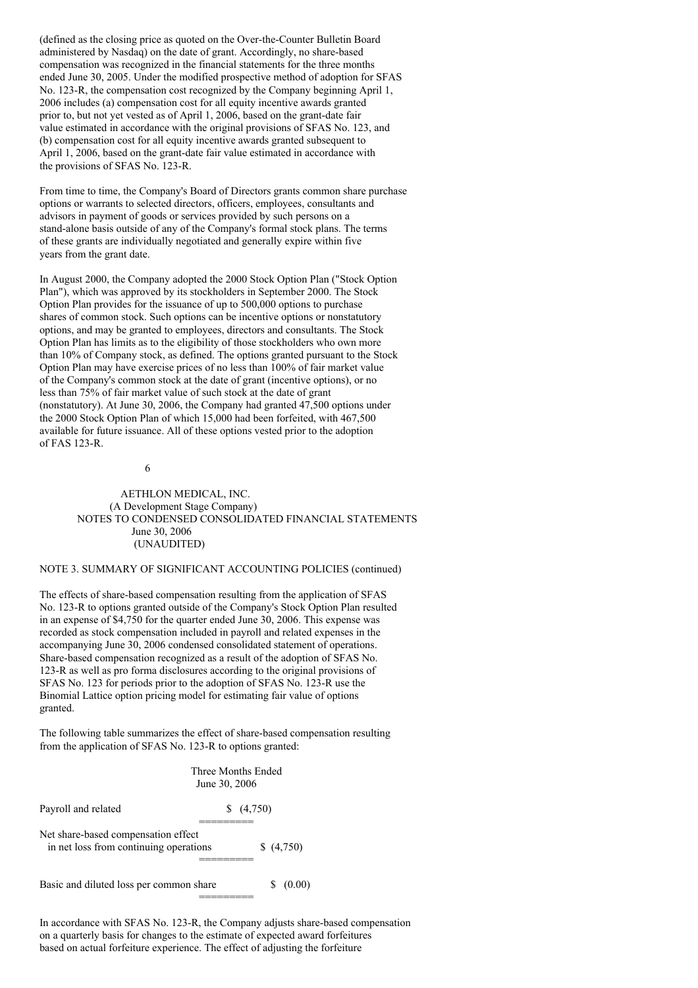(defined as the closing price as quoted on the Over-the-Counter Bulletin Board administered by Nasdaq) on the date of grant. Accordingly, no share-based compensation was recognized in the financial statements for the three months ended June 30, 2005. Under the modified prospective method of adoption for SFAS No. 123-R, the compensation cost recognized by the Company beginning April 1, 2006 includes (a) compensation cost for all equity incentive awards granted prior to, but not yet vested as of April 1, 2006, based on the grant-date fair value estimated in accordance with the original provisions of SFAS No. 123, and (b) compensation cost for all equity incentive awards granted subsequent to April 1, 2006, based on the grant-date fair value estimated in accordance with the provisions of SFAS No. 123-R.

From time to time, the Company's Board of Directors grants common share purchase options or warrants to selected directors, officers, employees, consultants and advisors in payment of goods or services provided by such persons on a stand-alone basis outside of any of the Company's formal stock plans. The terms of these grants are individually negotiated and generally expire within five years from the grant date.

In August 2000, the Company adopted the 2000 Stock Option Plan ("Stock Option Plan"), which was approved by its stockholders in September 2000. The Stock Option Plan provides for the issuance of up to 500,000 options to purchase shares of common stock. Such options can be incentive options or nonstatutory options, and may be granted to employees, directors and consultants. The Stock Option Plan has limits as to the eligibility of those stockholders who own more than 10% of Company stock, as defined. The options granted pursuant to the Stock Option Plan may have exercise prices of no less than 100% of fair market value of the Company's common stock at the date of grant (incentive options), or no less than 75% of fair market value of such stock at the date of grant (nonstatutory). At June 30, 2006, the Company had granted 47,500 options under the 2000 Stock Option Plan of which 15,000 had been forfeited, with 467,500 available for future issuance. All of these options vested prior to the adoption of FAS 123-R.

6

AETHLON MEDICAL, INC. (A Development Stage Company) NOTES TO CONDENSED CONSOLIDATED FINANCIAL STATEMENTS June 30, 2006 (UNAUDITED)

#### NOTE 3. SUMMARY OF SIGNIFICANT ACCOUNTING POLICIES (continued)

The effects of share-based compensation resulting from the application of SFAS No. 123-R to options granted outside of the Company's Stock Option Plan resulted in an expense of \$4,750 for the quarter ended June 30, 2006. This expense was recorded as stock compensation included in payroll and related expenses in the accompanying June 30, 2006 condensed consolidated statement of operations. Share-based compensation recognized as a result of the adoption of SFAS No. 123-R as well as pro forma disclosures according to the original provisions of SFAS No. 123 for periods prior to the adoption of SFAS No. 123-R use the Binomial Lattice option pricing model for estimating fair value of options granted.

The following table summarizes the effect of share-based compensation resulting from the application of SFAS No. 123-R to options granted:

|                                                                               | Three Months Ended<br>June 30, 2006 |  |  |  |
|-------------------------------------------------------------------------------|-------------------------------------|--|--|--|
| Payroll and related                                                           | (4,750)                             |  |  |  |
| Net share-based compensation effect<br>in net loss from continuing operations | (4,750)                             |  |  |  |
| Basic and diluted loss per common share                                       | (0.00)                              |  |  |  |

In accordance with SFAS No. 123-R, the Company adjusts share-based compensation on a quarterly basis for changes to the estimate of expected award forfeitures based on actual forfeiture experience. The effect of adjusting the forfeiture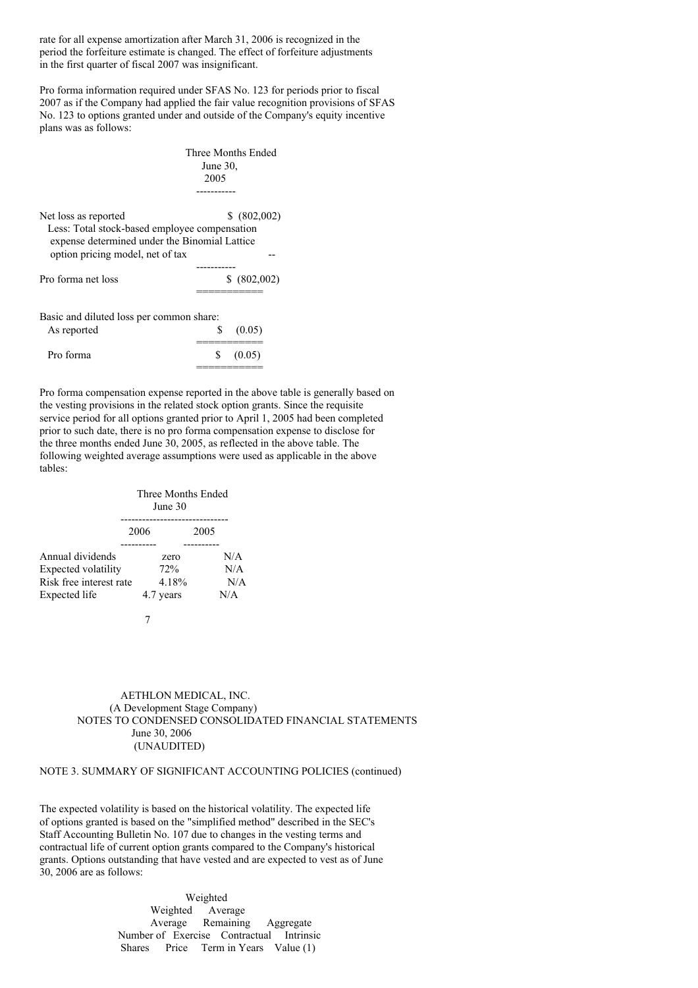rate for all expense amortization after March 31, 2006 is recognized in the period the forfeiture estimate is changed. The effect of forfeiture adjustments in the first quarter of fiscal 2007 was insignificant.

Pro forma information required under SFAS No. 123 for periods prior to fiscal 2007 as if the Company had applied the fair value recognition provisions of SFAS No. 123 to options granted under and outside of the Company's equity incentive plans was as follows:

| Three Months Ended |
|--------------------|
|                    |
|                    |
|                    |
|                    |

| Net loss as reported                                                                           | \$ (802,002) |
|------------------------------------------------------------------------------------------------|--------------|
| Less: Total stock-based employee compensation<br>expense determined under the Binomial Lattice |              |
| option pricing model, net of tax                                                               |              |
|                                                                                                |              |
| Pro forma net loss                                                                             | \$ (802,002) |
|                                                                                                |              |
|                                                                                                |              |
| Basic and diluted loss per common share:                                                       |              |
| As reported                                                                                    |              |

| Pro forma | $\frac{1}{2}$ (0.05) |  |
|-----------|----------------------|--|
|           |                      |  |

Pro forma compensation expense reported in the above table is generally based on the vesting provisions in the related stock option grants. Since the requisite service period for all options granted prior to April 1, 2005 had been completed prior to such date, there is no pro forma compensation expense to disclose for the three months ended June 30, 2005, as reflected in the above table. The following weighted average assumptions were used as applicable in the above tables:

|                                                                                     | Three Months Ended<br>June 30     |                          |  |  |
|-------------------------------------------------------------------------------------|-----------------------------------|--------------------------|--|--|
|                                                                                     | 2006                              | 2005                     |  |  |
| Annual dividends<br>Expected volatility<br>Risk free interest rate<br>Expected life | zero<br>72%<br>4.18%<br>4.7 years | N/A<br>N/A<br>N/A<br>N/A |  |  |

<sup>7</sup>

### AETHLON MEDICAL, INC. (A Development Stage Company) NOTES TO CONDENSED CONSOLIDATED FINANCIAL STATEMENTS June 30, 2006 (UNAUDITED)

## NOTE 3. SUMMARY OF SIGNIFICANT ACCOUNTING POLICIES (continued)

The expected volatility is based on the historical volatility. The expected life of options granted is based on the "simplified method" described in the SEC's Staff Accounting Bulletin No. 107 due to changes in the vesting terms and contractual life of current option grants compared to the Company's historical grants. Options outstanding that have vested and are expected to vest as of June 30, 2006 are as follows:

> Weighted Weighted Average Average Remaining Aggregate Number of Exercise Contractual Intrinsic Shares Price Term in Years Value (1)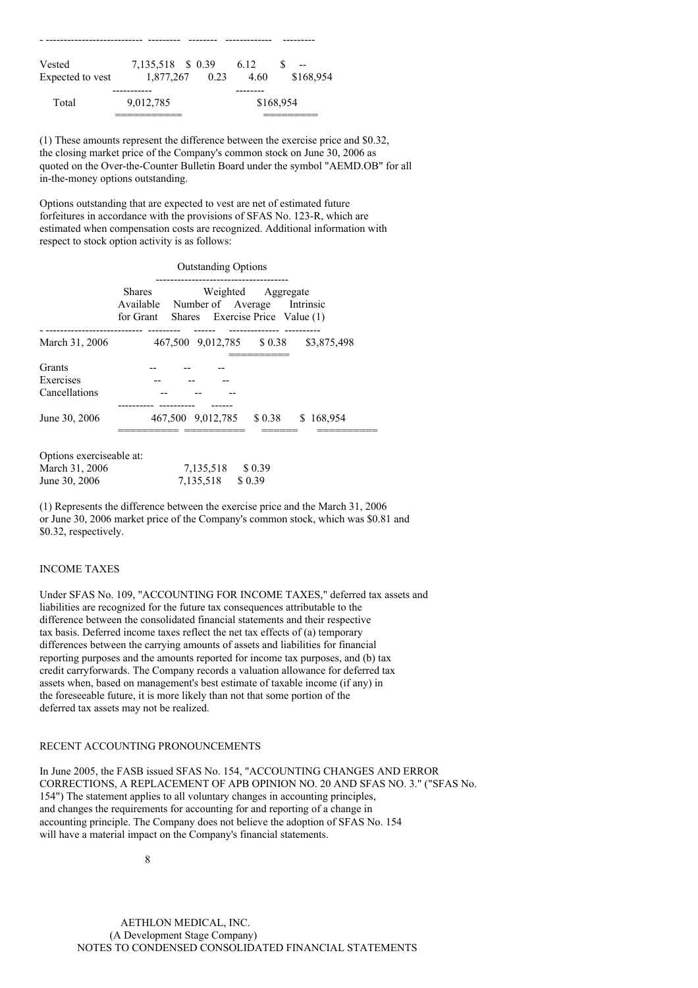| Vested           | 7,135,518 \$ 0.39    | 0.23 | 6.12      | $-$       |
|------------------|----------------------|------|-----------|-----------|
| Expected to vest | 1,877,267            |      | 4.60      | \$168,954 |
| Total            | -------<br>9,012,785 |      | \$168,954 |           |

- --------------------------- --------- -------- ------------- ---------

(1) These amounts represent the difference between the exercise price and \$0.32, the closing market price of the Company's common stock on June 30, 2006 as quoted on the Over-the-Counter Bulletin Board under the symbol "AEMD.OB" for all in-the-money options outstanding.

Options outstanding that are expected to vest are net of estimated future forfeitures in accordance with the provisions of SFAS No. 123-R, which are estimated when compensation costs are recognized. Additional information with respect to stock option activity is as follows:

| <b>Outstanding Options</b>                                                                                       |                                                                                                                       |  |  |  |  |  |
|------------------------------------------------------------------------------------------------------------------|-----------------------------------------------------------------------------------------------------------------------|--|--|--|--|--|
|                                                                                                                  | Shares<br>Weighted Aggregate<br>Available Number of Average Intrinsic<br>Shares Exercise Price Value (1)<br>for Grant |  |  |  |  |  |
| March 31, 2006                                                                                                   | 467,500 9,012,785 \$ 0.38<br>\$3,875,498                                                                              |  |  |  |  |  |
| Grants<br>Exercises<br>Cancellations                                                                             |                                                                                                                       |  |  |  |  |  |
| June 30, 2006                                                                                                    | 467,500 9,012,785 \$ 0.38<br>\$168,954                                                                                |  |  |  |  |  |
| Options exerciseable at:<br>$\mathbf{1} \mathbf{1}$ $\mathbf{1}$ $\mathbf{2} \mathbf{1}$ $\mathbf{2} \mathbf{2}$ | $\overline{z}$ 10 $\overline{z}$ 10 $\overline{z}$ 0.00                                                               |  |  |  |  |  |

| March 31, 2006 | 7,135,518 | \$ 0.39 |  |
|----------------|-----------|---------|--|
| June 30, 2006  | 7,135,518 | \$ 0.39 |  |

(1) Represents the difference between the exercise price and the March 31, 2006 or June 30, 2006 market price of the Company's common stock, which was \$0.81 and \$0.32, respectively.

### INCOME TAXES

Under SFAS No. 109, "ACCOUNTING FOR INCOME TAXES," deferred tax assets and liabilities are recognized for the future tax consequences attributable to the difference between the consolidated financial statements and their respective tax basis. Deferred income taxes reflect the net tax effects of (a) temporary differences between the carrying amounts of assets and liabilities for financial reporting purposes and the amounts reported for income tax purposes, and (b) tax credit carryforwards. The Company records a valuation allowance for deferred tax assets when, based on management's best estimate of taxable income (if any) in the foreseeable future, it is more likely than not that some portion of the deferred tax assets may not be realized.

# RECENT ACCOUNTING PRONOUNCEMENTS

In June 2005, the FASB issued SFAS No. 154, "ACCOUNTING CHANGES AND ERROR CORRECTIONS, A REPLACEMENT OF APB OPINION NO. 20 AND SFAS NO. 3." ("SFAS No. 154") The statement applies to all voluntary changes in accounting principles, and changes the requirements for accounting for and reporting of a change in accounting principle. The Company does not believe the adoption of SFAS No. 154 will have a material impact on the Company's financial statements.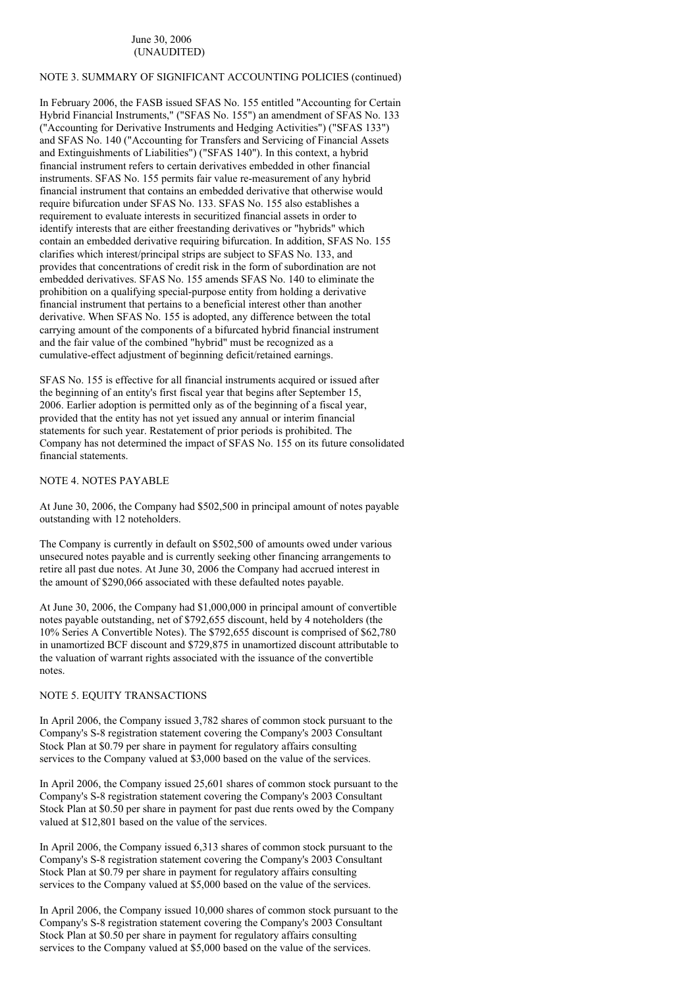#### June 30, 2006 (UNAUDITED)

# NOTE 3. SUMMARY OF SIGNIFICANT ACCOUNTING POLICIES (continued)

In February 2006, the FASB issued SFAS No. 155 entitled "Accounting for Certain Hybrid Financial Instruments," ("SFAS No. 155") an amendment of SFAS No. 133 ("Accounting for Derivative Instruments and Hedging Activities") ("SFAS 133") and SFAS No. 140 ("Accounting for Transfers and Servicing of Financial Assets and Extinguishments of Liabilities") ("SFAS 140"). In this context, a hybrid financial instrument refers to certain derivatives embedded in other financial instruments. SFAS No. 155 permits fair value re-measurement of any hybrid financial instrument that contains an embedded derivative that otherwise would require bifurcation under SFAS No. 133. SFAS No. 155 also establishes a requirement to evaluate interests in securitized financial assets in order to identify interests that are either freestanding derivatives or "hybrids" which contain an embedded derivative requiring bifurcation. In addition, SFAS No. 155 clarifies which interest/principal strips are subject to SFAS No. 133, and provides that concentrations of credit risk in the form of subordination are not embedded derivatives. SFAS No. 155 amends SFAS No. 140 to eliminate the prohibition on a qualifying special-purpose entity from holding a derivative financial instrument that pertains to a beneficial interest other than another derivative. When SFAS No. 155 is adopted, any difference between the total carrying amount of the components of a bifurcated hybrid financial instrument and the fair value of the combined "hybrid" must be recognized as a cumulative-effect adjustment of beginning deficit/retained earnings.

SFAS No. 155 is effective for all financial instruments acquired or issued after the beginning of an entity's first fiscal year that begins after September 15, 2006. Earlier adoption is permitted only as of the beginning of a fiscal year, provided that the entity has not yet issued any annual or interim financial statements for such year. Restatement of prior periods is prohibited. The Company has not determined the impact of SFAS No. 155 on its future consolidated financial statements.

# NOTE 4. NOTES PAYABLE

At June 30, 2006, the Company had \$502,500 in principal amount of notes payable outstanding with 12 noteholders.

The Company is currently in default on \$502,500 of amounts owed under various unsecured notes payable and is currently seeking other financing arrangements to retire all past due notes. At June 30, 2006 the Company had accrued interest in the amount of \$290,066 associated with these defaulted notes payable.

At June 30, 2006, the Company had \$1,000,000 in principal amount of convertible notes payable outstanding, net of \$792,655 discount, held by 4 noteholders (the 10% Series A Convertible Notes). The \$792,655 discount is comprised of \$62,780 in unamortized BCF discount and \$729,875 in unamortized discount attributable to the valuation of warrant rights associated with the issuance of the convertible notes.

### NOTE 5. EQUITY TRANSACTIONS

In April 2006, the Company issued 3,782 shares of common stock pursuant to the Company's S-8 registration statement covering the Company's 2003 Consultant Stock Plan at \$0.79 per share in payment for regulatory affairs consulting services to the Company valued at \$3,000 based on the value of the services.

In April 2006, the Company issued 25,601 shares of common stock pursuant to the Company's S-8 registration statement covering the Company's 2003 Consultant Stock Plan at \$0.50 per share in payment for past due rents owed by the Company valued at \$12,801 based on the value of the services.

In April 2006, the Company issued 6,313 shares of common stock pursuant to the Company's S-8 registration statement covering the Company's 2003 Consultant Stock Plan at \$0.79 per share in payment for regulatory affairs consulting services to the Company valued at \$5,000 based on the value of the services.

In April 2006, the Company issued 10,000 shares of common stock pursuant to the Company's S-8 registration statement covering the Company's 2003 Consultant Stock Plan at \$0.50 per share in payment for regulatory affairs consulting services to the Company valued at \$5,000 based on the value of the services.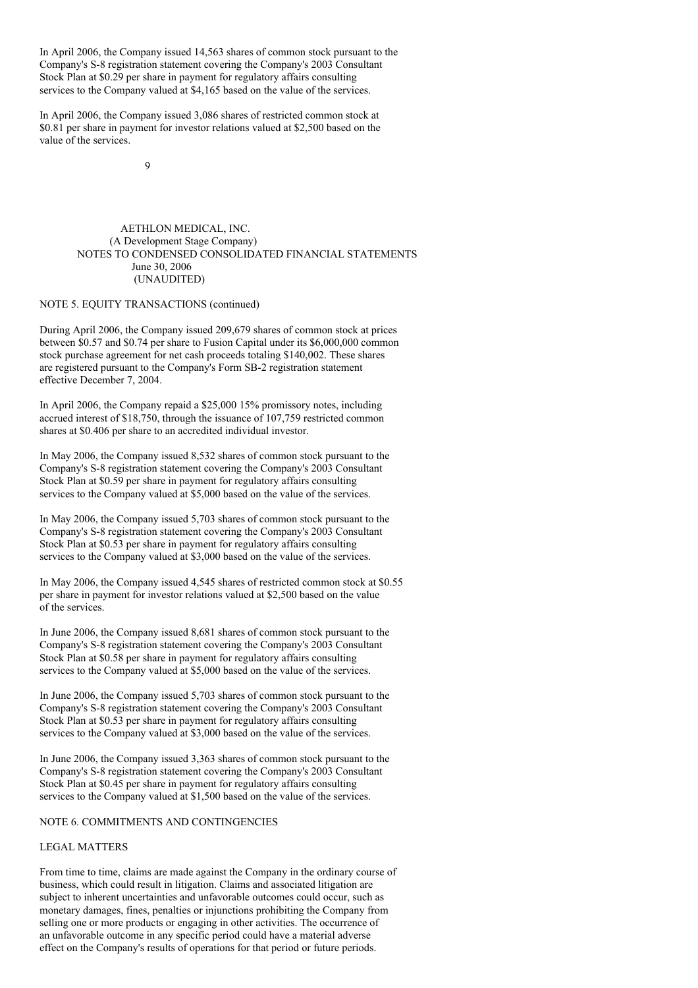In April 2006, the Company issued 14,563 shares of common stock pursuant to the Company's S-8 registration statement covering the Company's 2003 Consultant Stock Plan at \$0.29 per share in payment for regulatory affairs consulting services to the Company valued at \$4,165 based on the value of the services.

In April 2006, the Company issued 3,086 shares of restricted common stock at \$0.81 per share in payment for investor relations valued at \$2,500 based on the value of the services.

 $\overline{Q}$ 

# AETHLON MEDICAL, INC. (A Development Stage Company) NOTES TO CONDENSED CONSOLIDATED FINANCIAL STATEMENTS June 30, 2006 (UNAUDITED)

# NOTE 5. EQUITY TRANSACTIONS (continued)

During April 2006, the Company issued 209,679 shares of common stock at prices between \$0.57 and \$0.74 per share to Fusion Capital under its \$6,000,000 common stock purchase agreement for net cash proceeds totaling \$140,002. These shares are registered pursuant to the Company's Form SB-2 registration statement effective December 7, 2004.

In April 2006, the Company repaid a \$25,000 15% promissory notes, including accrued interest of \$18,750, through the issuance of 107,759 restricted common shares at \$0.406 per share to an accredited individual investor.

In May 2006, the Company issued 8,532 shares of common stock pursuant to the Company's S-8 registration statement covering the Company's 2003 Consultant Stock Plan at \$0.59 per share in payment for regulatory affairs consulting services to the Company valued at \$5,000 based on the value of the services.

In May 2006, the Company issued 5,703 shares of common stock pursuant to the Company's S-8 registration statement covering the Company's 2003 Consultant Stock Plan at \$0.53 per share in payment for regulatory affairs consulting services to the Company valued at \$3,000 based on the value of the services.

In May 2006, the Company issued 4,545 shares of restricted common stock at \$0.55 per share in payment for investor relations valued at \$2,500 based on the value of the services.

In June 2006, the Company issued 8,681 shares of common stock pursuant to the Company's S-8 registration statement covering the Company's 2003 Consultant Stock Plan at \$0.58 per share in payment for regulatory affairs consulting services to the Company valued at \$5,000 based on the value of the services.

In June 2006, the Company issued 5,703 shares of common stock pursuant to the Company's S-8 registration statement covering the Company's 2003 Consultant Stock Plan at \$0.53 per share in payment for regulatory affairs consulting services to the Company valued at \$3,000 based on the value of the services.

In June 2006, the Company issued 3,363 shares of common stock pursuant to the Company's S-8 registration statement covering the Company's 2003 Consultant Stock Plan at \$0.45 per share in payment for regulatory affairs consulting services to the Company valued at \$1,500 based on the value of the services.

# NOTE 6. COMMITMENTS AND CONTINGENCIES

# LEGAL MATTERS

From time to time, claims are made against the Company in the ordinary course of business, which could result in litigation. Claims and associated litigation are subject to inherent uncertainties and unfavorable outcomes could occur, such as monetary damages, fines, penalties or injunctions prohibiting the Company from selling one or more products or engaging in other activities. The occurrence of an unfavorable outcome in any specific period could have a material adverse effect on the Company's results of operations for that period or future periods.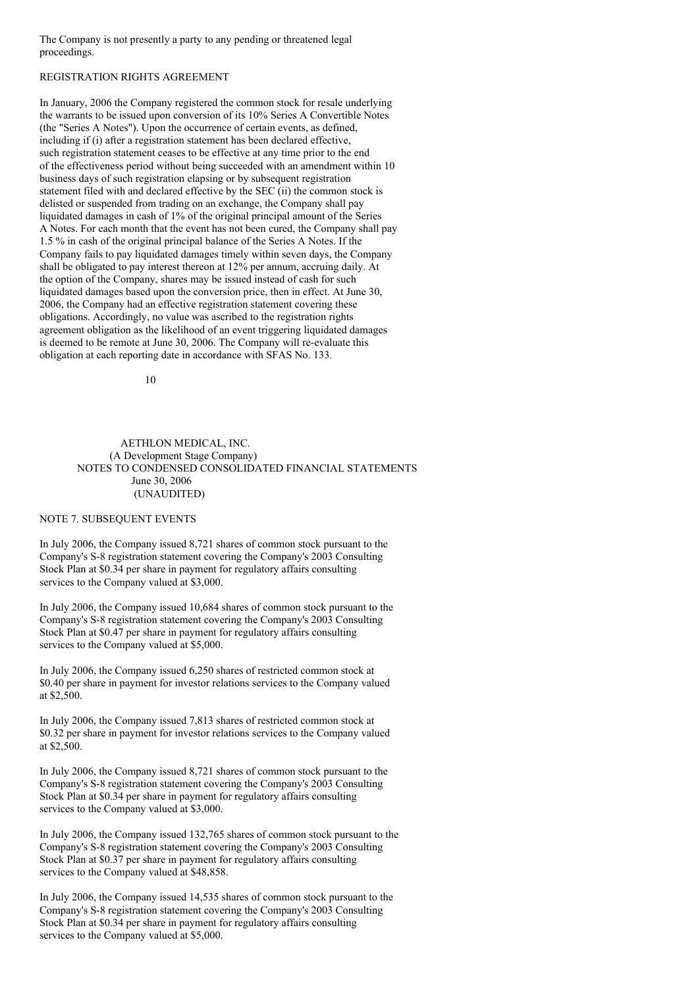The Company is not presently a party to any pending or threatened legal proceedings.

# REGISTRATION RIGHTS AGREEMENT

In January, 2006 the Company registered the common stock for resale underlying the warrants to be issued upon conversion of its 10% Series A Convertible Notes (the "Series A Notes"). Upon the occurrence of certain events, as defined, including if (i) after a registration statement has been declared effective, such registration statement ceases to be effective at any time prior to the end of the effectiveness period without being succeeded with an amendment within 10 business days of such registration elapsing or by subsequent registration statement filed with and declared effective by the SEC (ii) the common stock is delisted or suspended from trading on an exchange, the Company shall pay liquidated damages in cash of 1% of the original principal amount of the Series A Notes. For each month that the event has not been cured, the Company shall pay 1.5 % in cash of the original principal balance of the Series A Notes. If the Company fails to pay liquidated damages timely within seven days, the Company shall be obligated to pay interest thereon at 12% per annum, accruing daily. At the option of the Company, shares may be issued instead of cash for such liquidated damages based upon the conversion price, then in effect. At June 30, 2006, the Company had an effective registration statement covering these obligations. Accordingly, no value was ascribed to the registration rights agreement obligation as the likelihood of an event triggering liquidated damages is deemed to be remote at June 30, 2006. The Company will re-evaluate this obligation at each reporting date in accordance with SFAS No. 133.

10

AETHLON MEDICAL, INC. (A Development Stage Company) NOTES TO CONDENSED CONSOLIDATED FINANCIAL STATEMENTS June 30, 2006 (UNAUDITED)

# NOTE 7. SUBSEQUENT EVENTS

In July 2006, the Company issued 8,721 shares of common stock pursuant to the Company's S-8 registration statement covering the Company's 2003 Consulting Stock Plan at \$0.34 per share in payment for regulatory affairs consulting services to the Company valued at \$3,000.

In July 2006, the Company issued 10,684 shares of common stock pursuant to the Company's S-8 registration statement covering the Company's 2003 Consulting Stock Plan at \$0.47 per share in payment for regulatory affairs consulting services to the Company valued at \$5,000.

In July 2006, the Company issued 6,250 shares of restricted common stock at \$0.40 per share in payment for investor relations services to the Company valued at \$2,500.

In July 2006, the Company issued 7,813 shares of restricted common stock at \$0.32 per share in payment for investor relations services to the Company valued at \$2,500.

In July 2006, the Company issued 8,721 shares of common stock pursuant to the Company's S-8 registration statement covering the Company's 2003 Consulting Stock Plan at \$0.34 per share in payment for regulatory affairs consulting services to the Company valued at \$3,000.

In July 2006, the Company issued 132,765 shares of common stock pursuant to the Company's S-8 registration statement covering the Company's 2003 Consulting Stock Plan at \$0.37 per share in payment for regulatory affairs consulting services to the Company valued at \$48,858.

In July 2006, the Company issued 14,535 shares of common stock pursuant to the Company's S-8 registration statement covering the Company's 2003 Consulting Stock Plan at \$0.34 per share in payment for regulatory affairs consulting services to the Company valued at \$5,000.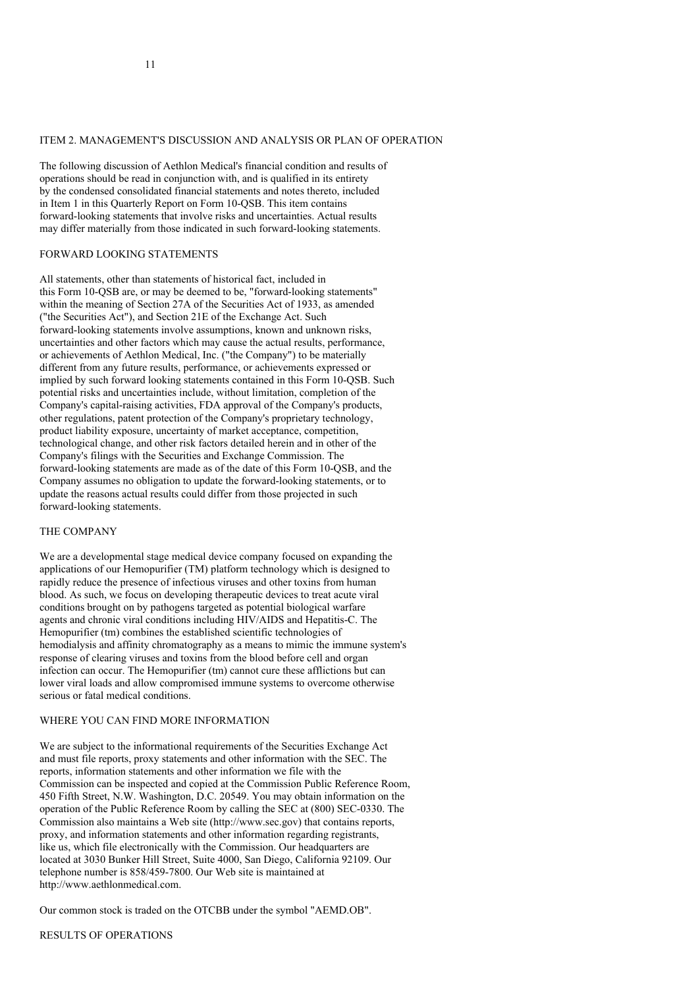# ITEM 2. MANAGEMENT'S DISCUSSION AND ANALYSIS OR PLAN OF OPERATION

The following discussion of Aethlon Medical's financial condition and results of operations should be read in conjunction with, and is qualified in its entirety by the condensed consolidated financial statements and notes thereto, included in Item 1 in this Quarterly Report on Form 10-QSB. This item contains forward-looking statements that involve risks and uncertainties. Actual results may differ materially from those indicated in such forward-looking statements.

### FORWARD LOOKING STATEMENTS

All statements, other than statements of historical fact, included in this Form 10-QSB are, or may be deemed to be, "forward-looking statements" within the meaning of Section 27A of the Securities Act of 1933, as amended ("the Securities Act"), and Section 21E of the Exchange Act. Such forward-looking statements involve assumptions, known and unknown risks, uncertainties and other factors which may cause the actual results, performance, or achievements of Aethlon Medical, Inc. ("the Company") to be materially different from any future results, performance, or achievements expressed or implied by such forward looking statements contained in this Form 10-QSB. Such potential risks and uncertainties include, without limitation, completion of the Company's capital-raising activities, FDA approval of the Company's products, other regulations, patent protection of the Company's proprietary technology, product liability exposure, uncertainty of market acceptance, competition, technological change, and other risk factors detailed herein and in other of the Company's filings with the Securities and Exchange Commission. The forward-looking statements are made as of the date of this Form 10-QSB, and the Company assumes no obligation to update the forward-looking statements, or to update the reasons actual results could differ from those projected in such forward-looking statements.

#### THE COMPANY

We are a developmental stage medical device company focused on expanding the applications of our Hemopurifier (TM) platform technology which is designed to rapidly reduce the presence of infectious viruses and other toxins from human blood. As such, we focus on developing therapeutic devices to treat acute viral conditions brought on by pathogens targeted as potential biological warfare agents and chronic viral conditions including HIV/AIDS and Hepatitis-C. The Hemopurifier (tm) combines the established scientific technologies of hemodialysis and affinity chromatography as a means to mimic the immune system's response of clearing viruses and toxins from the blood before cell and organ infection can occur. The Hemopurifier (tm) cannot cure these afflictions but can lower viral loads and allow compromised immune systems to overcome otherwise serious or fatal medical conditions.

#### WHERE YOU CAN FIND MORE INFORMATION

We are subject to the informational requirements of the Securities Exchange Act and must file reports, proxy statements and other information with the SEC. The reports, information statements and other information we file with the Commission can be inspected and copied at the Commission Public Reference Room, 450 Fifth Street, N.W. Washington, D.C. 20549. You may obtain information on the operation of the Public Reference Room by calling the SEC at (800) SEC-0330. The Commission also maintains a Web site (http://www.sec.gov) that contains reports, proxy, and information statements and other information regarding registrants, like us, which file electronically with the Commission. Our headquarters are located at 3030 Bunker Hill Street, Suite 4000, San Diego, California 92109. Our telephone number is 858/459-7800. Our Web site is maintained at http://www.aethlonmedical.com.

Our common stock is traded on the OTCBB under the symbol "AEMD.OB".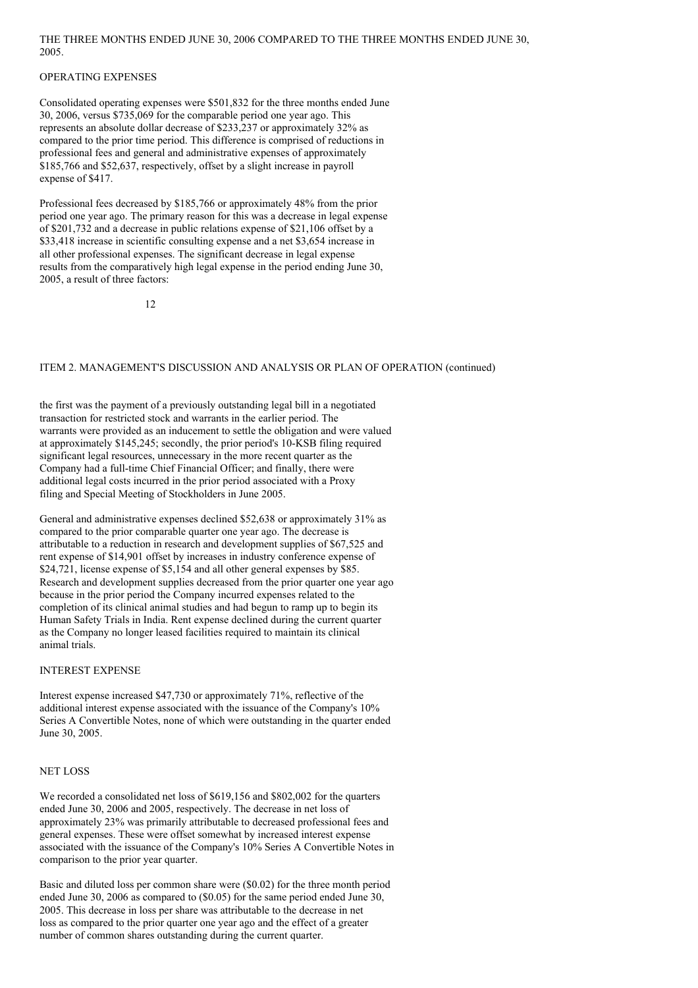### THE THREE MONTHS ENDED JUNE 30, 2006 COMPARED TO THE THREE MONTHS ENDED JUNE 30, 2005.

# OPERATING EXPENSES

Consolidated operating expenses were \$501,832 for the three months ended June 30, 2006, versus \$735,069 for the comparable period one year ago. This represents an absolute dollar decrease of \$233,237 or approximately 32% as compared to the prior time period. This difference is comprised of reductions in professional fees and general and administrative expenses of approximately \$185,766 and \$52,637, respectively, offset by a slight increase in payroll expense of \$417.

Professional fees decreased by \$185,766 or approximately 48% from the prior period one year ago. The primary reason for this was a decrease in legal expense of \$201,732 and a decrease in public relations expense of \$21,106 offset by a \$33,418 increase in scientific consulting expense and a net \$3,654 increase in all other professional expenses. The significant decrease in legal expense results from the comparatively high legal expense in the period ending June 30, 2005, a result of three factors:

12

#### ITEM 2. MANAGEMENT'S DISCUSSION AND ANALYSIS OR PLAN OF OPERATION (continued)

the first was the payment of a previously outstanding legal bill in a negotiated transaction for restricted stock and warrants in the earlier period. The warrants were provided as an inducement to settle the obligation and were valued at approximately \$145,245; secondly, the prior period's 10-KSB filing required significant legal resources, unnecessary in the more recent quarter as the Company had a full-time Chief Financial Officer; and finally, there were additional legal costs incurred in the prior period associated with a Proxy filing and Special Meeting of Stockholders in June 2005.

General and administrative expenses declined \$52,638 or approximately 31% as compared to the prior comparable quarter one year ago. The decrease is attributable to a reduction in research and development supplies of \$67,525 and rent expense of \$14,901 offset by increases in industry conference expense of \$24,721, license expense of \$5,154 and all other general expenses by \$85. Research and development supplies decreased from the prior quarter one year ago because in the prior period the Company incurred expenses related to the completion of its clinical animal studies and had begun to ramp up to begin its Human Safety Trials in India. Rent expense declined during the current quarter as the Company no longer leased facilities required to maintain its clinical animal trials.

### INTEREST EXPENSE

Interest expense increased \$47,730 or approximately 71%, reflective of the additional interest expense associated with the issuance of the Company's 10% Series A Convertible Notes, none of which were outstanding in the quarter ended June 30, 2005.

#### NET LOSS

We recorded a consolidated net loss of \$619,156 and \$802,002 for the quarters ended June 30, 2006 and 2005, respectively. The decrease in net loss of approximately 23% was primarily attributable to decreased professional fees and general expenses. These were offset somewhat by increased interest expense associated with the issuance of the Company's 10% Series A Convertible Notes in comparison to the prior year quarter.

Basic and diluted loss per common share were (\$0.02) for the three month period ended June 30, 2006 as compared to (\$0.05) for the same period ended June 30, 2005. This decrease in loss per share was attributable to the decrease in net loss as compared to the prior quarter one year ago and the effect of a greater number of common shares outstanding during the current quarter.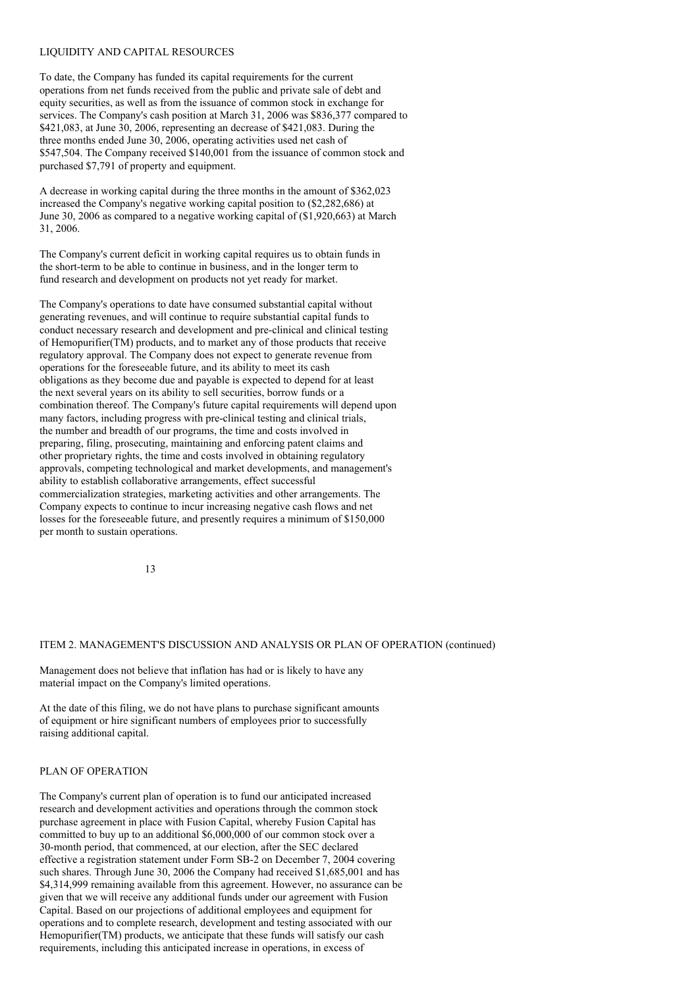### LIQUIDITY AND CAPITAL RESOURCES

To date, the Company has funded its capital requirements for the current operations from net funds received from the public and private sale of debt and equity securities, as well as from the issuance of common stock in exchange for services. The Company's cash position at March 31, 2006 was \$836,377 compared to \$421,083, at June 30, 2006, representing an decrease of \$421,083. During the three months ended June 30, 2006, operating activities used net cash of \$547,504. The Company received \$140,001 from the issuance of common stock and purchased \$7,791 of property and equipment.

A decrease in working capital during the three months in the amount of \$362,023 increased the Company's negative working capital position to (\$2,282,686) at June 30, 2006 as compared to a negative working capital of (\$1,920,663) at March 31, 2006.

The Company's current deficit in working capital requires us to obtain funds in the short-term to be able to continue in business, and in the longer term to fund research and development on products not yet ready for market.

The Company's operations to date have consumed substantial capital without generating revenues, and will continue to require substantial capital funds to conduct necessary research and development and pre-clinical and clinical testing of Hemopurifier(TM) products, and to market any of those products that receive regulatory approval. The Company does not expect to generate revenue from operations for the foreseeable future, and its ability to meet its cash obligations as they become due and payable is expected to depend for at least the next several years on its ability to sell securities, borrow funds or a combination thereof. The Company's future capital requirements will depend upon many factors, including progress with pre-clinical testing and clinical trials, the number and breadth of our programs, the time and costs involved in preparing, filing, prosecuting, maintaining and enforcing patent claims and other proprietary rights, the time and costs involved in obtaining regulatory approvals, competing technological and market developments, and management's ability to establish collaborative arrangements, effect successful commercialization strategies, marketing activities and other arrangements. The Company expects to continue to incur increasing negative cash flows and net losses for the foreseeable future, and presently requires a minimum of \$150,000 per month to sustain operations.

13

#### ITEM 2. MANAGEMENT'S DISCUSSION AND ANALYSIS OR PLAN OF OPERATION (continued)

Management does not believe that inflation has had or is likely to have any material impact on the Company's limited operations.

At the date of this filing, we do not have plans to purchase significant amounts of equipment or hire significant numbers of employees prior to successfully raising additional capital.

#### PLAN OF OPERATION

The Company's current plan of operation is to fund our anticipated increased research and development activities and operations through the common stock purchase agreement in place with Fusion Capital, whereby Fusion Capital has committed to buy up to an additional \$6,000,000 of our common stock over a 30-month period, that commenced, at our election, after the SEC declared effective a registration statement under Form SB-2 on December 7, 2004 covering such shares. Through June 30, 2006 the Company had received \$1,685,001 and has \$4,314,999 remaining available from this agreement. However, no assurance can be given that we will receive any additional funds under our agreement with Fusion Capital. Based on our projections of additional employees and equipment for operations and to complete research, development and testing associated with our Hemopurifier(TM) products, we anticipate that these funds will satisfy our cash requirements, including this anticipated increase in operations, in excess of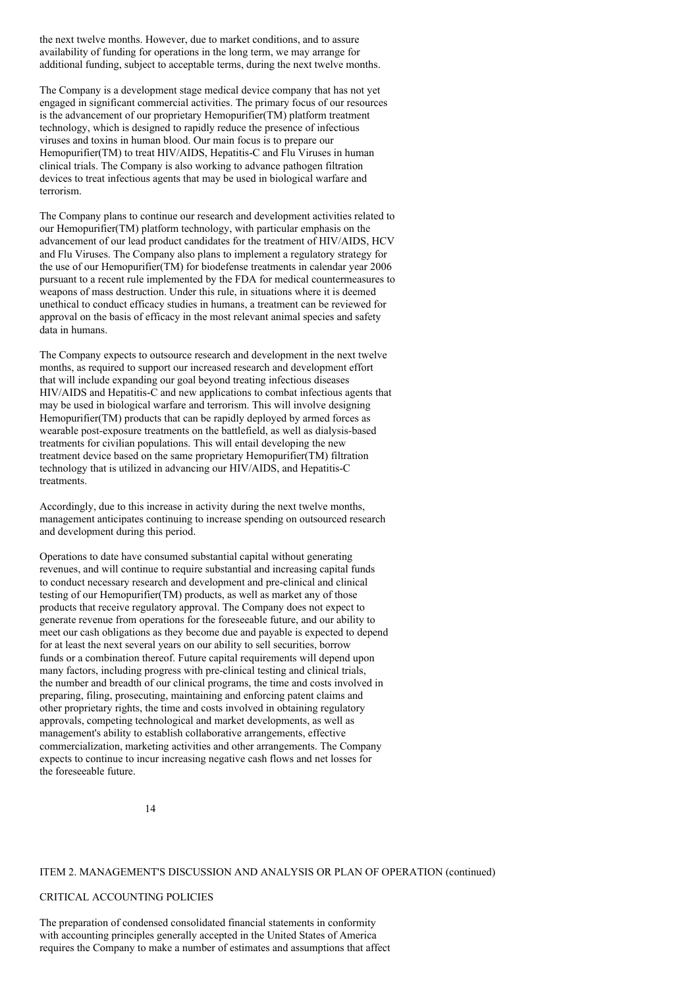the next twelve months. However, due to market conditions, and to assure availability of funding for operations in the long term, we may arrange for additional funding, subject to acceptable terms, during the next twelve months.

The Company is a development stage medical device company that has not yet engaged in significant commercial activities. The primary focus of our resources is the advancement of our proprietary Hemopurifier(TM) platform treatment technology, which is designed to rapidly reduce the presence of infectious viruses and toxins in human blood. Our main focus is to prepare our Hemopurifier(TM) to treat HIV/AIDS, Hepatitis-C and Flu Viruses in human clinical trials. The Company is also working to advance pathogen filtration devices to treat infectious agents that may be used in biological warfare and terrorism.

The Company plans to continue our research and development activities related to our Hemopurifier(TM) platform technology, with particular emphasis on the advancement of our lead product candidates for the treatment of HIV/AIDS, HCV and Flu Viruses. The Company also plans to implement a regulatory strategy for the use of our Hemopurifier(TM) for biodefense treatments in calendar year 2006 pursuant to a recent rule implemented by the FDA for medical countermeasures to weapons of mass destruction. Under this rule, in situations where it is deemed unethical to conduct efficacy studies in humans, a treatment can be reviewed for approval on the basis of efficacy in the most relevant animal species and safety data in humans.

The Company expects to outsource research and development in the next twelve months, as required to support our increased research and development effort that will include expanding our goal beyond treating infectious diseases HIV/AIDS and Hepatitis-C and new applications to combat infectious agents that may be used in biological warfare and terrorism. This will involve designing Hemopurifier(TM) products that can be rapidly deployed by armed forces as wearable post-exposure treatments on the battlefield, as well as dialysis-based treatments for civilian populations. This will entail developing the new treatment device based on the same proprietary Hemopurifier(TM) filtration technology that is utilized in advancing our HIV/AIDS, and Hepatitis-C treatments.

Accordingly, due to this increase in activity during the next twelve months, management anticipates continuing to increase spending on outsourced research and development during this period.

Operations to date have consumed substantial capital without generating revenues, and will continue to require substantial and increasing capital funds to conduct necessary research and development and pre-clinical and clinical testing of our Hemopurifier(TM) products, as well as market any of those products that receive regulatory approval. The Company does not expect to generate revenue from operations for the foreseeable future, and our ability to meet our cash obligations as they become due and payable is expected to depend for at least the next several years on our ability to sell securities, borrow funds or a combination thereof. Future capital requirements will depend upon many factors, including progress with pre-clinical testing and clinical trials, the number and breadth of our clinical programs, the time and costs involved in preparing, filing, prosecuting, maintaining and enforcing patent claims and other proprietary rights, the time and costs involved in obtaining regulatory approvals, competing technological and market developments, as well as management's ability to establish collaborative arrangements, effective commercialization, marketing activities and other arrangements. The Company expects to continue to incur increasing negative cash flows and net losses for the foreseeable future.

14

#### ITEM 2. MANAGEMENT'S DISCUSSION AND ANALYSIS OR PLAN OF OPERATION (continued)

#### CRITICAL ACCOUNTING POLICIES

The preparation of condensed consolidated financial statements in conformity with accounting principles generally accepted in the United States of America requires the Company to make a number of estimates and assumptions that affect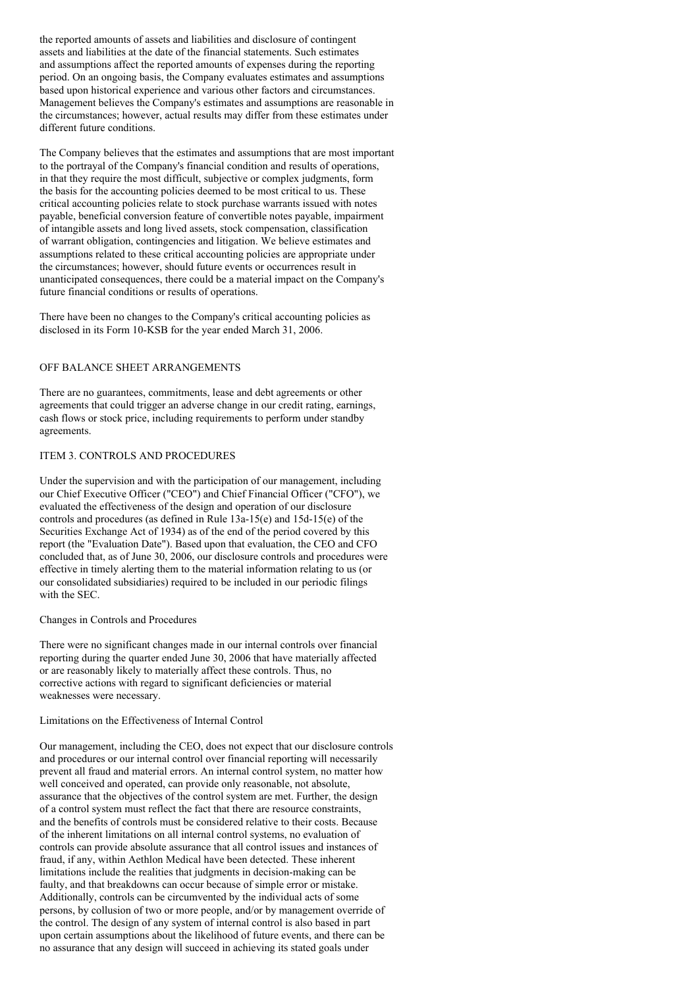the reported amounts of assets and liabilities and disclosure of contingent assets and liabilities at the date of the financial statements. Such estimates and assumptions affect the reported amounts of expenses during the reporting period. On an ongoing basis, the Company evaluates estimates and assumptions based upon historical experience and various other factors and circumstances. Management believes the Company's estimates and assumptions are reasonable in the circumstances; however, actual results may differ from these estimates under different future conditions.

The Company believes that the estimates and assumptions that are most important to the portrayal of the Company's financial condition and results of operations, in that they require the most difficult, subjective or complex judgments, form the basis for the accounting policies deemed to be most critical to us. These critical accounting policies relate to stock purchase warrants issued with notes payable, beneficial conversion feature of convertible notes payable, impairment of intangible assets and long lived assets, stock compensation, classification of warrant obligation, contingencies and litigation. We believe estimates and assumptions related to these critical accounting policies are appropriate under the circumstances; however, should future events or occurrences result in unanticipated consequences, there could be a material impact on the Company's future financial conditions or results of operations.

There have been no changes to the Company's critical accounting policies as disclosed in its Form 10-KSB for the year ended March 31, 2006.

# OFF BALANCE SHEET ARRANGEMENTS

There are no guarantees, commitments, lease and debt agreements or other agreements that could trigger an adverse change in our credit rating, earnings, cash flows or stock price, including requirements to perform under standby agreements.

# ITEM 3. CONTROLS AND PROCEDURES

Under the supervision and with the participation of our management, including our Chief Executive Officer ("CEO") and Chief Financial Officer ("CFO"), we evaluated the effectiveness of the design and operation of our disclosure controls and procedures (as defined in Rule 13a-15(e) and 15d-15(e) of the Securities Exchange Act of 1934) as of the end of the period covered by this report (the "Evaluation Date"). Based upon that evaluation, the CEO and CFO concluded that, as of June 30, 2006, our disclosure controls and procedures were effective in timely alerting them to the material information relating to us (or our consolidated subsidiaries) required to be included in our periodic filings with the SEC.

#### Changes in Controls and Procedures

There were no significant changes made in our internal controls over financial reporting during the quarter ended June 30, 2006 that have materially affected or are reasonably likely to materially affect these controls. Thus, no corrective actions with regard to significant deficiencies or material weaknesses were necessary.

#### Limitations on the Effectiveness of Internal Control

Our management, including the CEO, does not expect that our disclosure controls and procedures or our internal control over financial reporting will necessarily prevent all fraud and material errors. An internal control system, no matter how well conceived and operated, can provide only reasonable, not absolute, assurance that the objectives of the control system are met. Further, the design of a control system must reflect the fact that there are resource constraints, and the benefits of controls must be considered relative to their costs. Because of the inherent limitations on all internal control systems, no evaluation of controls can provide absolute assurance that all control issues and instances of fraud, if any, within Aethlon Medical have been detected. These inherent limitations include the realities that judgments in decision-making can be faulty, and that breakdowns can occur because of simple error or mistake. Additionally, controls can be circumvented by the individual acts of some persons, by collusion of two or more people, and/or by management override of the control. The design of any system of internal control is also based in part upon certain assumptions about the likelihood of future events, and there can be no assurance that any design will succeed in achieving its stated goals under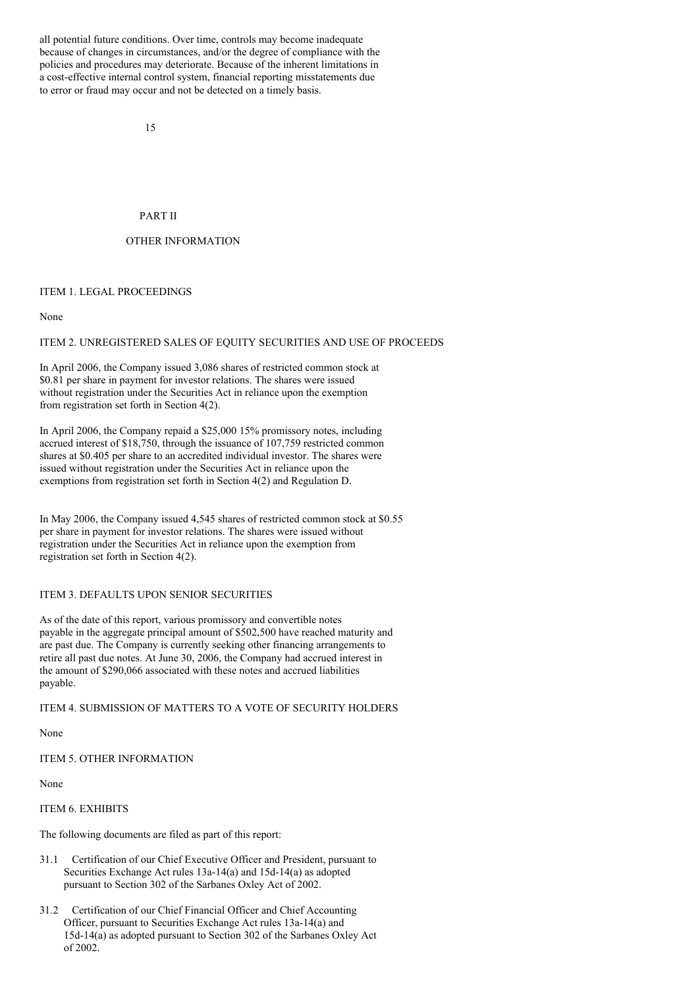all potential future conditions. Over time, controls may become inadequate because of changes in circumstances, and/or the degree of compliance with the policies and procedures may deteriorate. Because of the inherent limitations in a cost-effective internal control system, financial reporting misstatements due to error or fraud may occur and not be detected on a timely basis.

15

### PART II

# OTHER INFORMATION

# ITEM 1. LEGAL PROCEEDINGS

None

### ITEM 2. UNREGISTERED SALES OF EQUITY SECURITIES AND USE OF PROCEEDS

In April 2006, the Company issued 3,086 shares of restricted common stock at \$0.81 per share in payment for investor relations. The shares were issued without registration under the Securities Act in reliance upon the exemption from registration set forth in Section 4(2).

In April 2006, the Company repaid a \$25,000 15% promissory notes, including accrued interest of \$18,750, through the issuance of 107,759 restricted common shares at \$0.405 per share to an accredited individual investor. The shares were issued without registration under the Securities Act in reliance upon the exemptions from registration set forth in Section 4(2) and Regulation D.

In May 2006, the Company issued 4,545 shares of restricted common stock at \$0.55 per share in payment for investor relations. The shares were issued without registration under the Securities Act in reliance upon the exemption from registration set forth in Section 4(2).

#### ITEM 3. DEFAULTS UPON SENIOR SECURITIES

As of the date of this report, various promissory and convertible notes payable in the aggregate principal amount of \$502,500 have reached maturity and are past due. The Company is currently seeking other financing arrangements to retire all past due notes. At June 30, 2006, the Company had accrued interest in the amount of \$290,066 associated with these notes and accrued liabilities payable.

#### ITEM 4. SUBMISSION OF MATTERS TO A VOTE OF SECURITY HOLDERS

None

ITEM 5. OTHER INFORMATION

None

#### ITEM 6. EXHIBITS

The following documents are filed as part of this report:

- 31.1 Certification of our Chief Executive Officer and President, pursuant to Securities Exchange Act rules 13a-14(a) and 15d-14(a) as adopted pursuant to Section 302 of the Sarbanes Oxley Act of 2002.
- 31.2 Certification of our Chief Financial Officer and Chief Accounting Officer, pursuant to Securities Exchange Act rules 13a-14(a) and 15d-14(a) as adopted pursuant to Section 302 of the Sarbanes Oxley Act of 2002.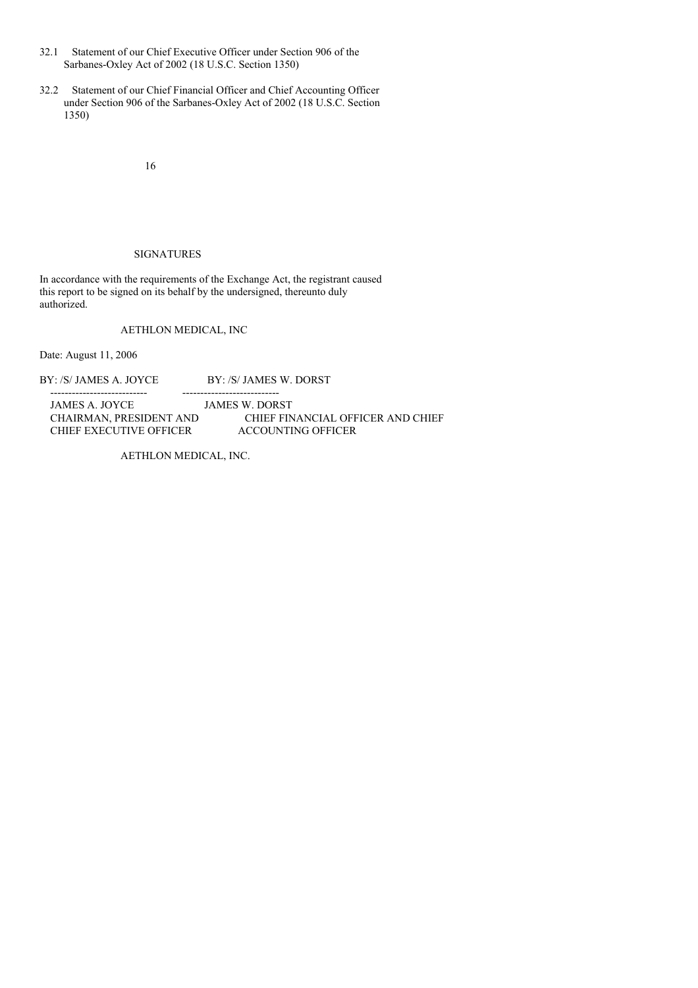- 32.1 Statement of our Chief Executive Officer under Section 906 of the Sarbanes-Oxley Act of 2002 (18 U.S.C. Section 1350)
- 32.2 Statement of our Chief Financial Officer and Chief Accounting Officer under Section 906 of the Sarbanes-Oxley Act of 2002 (18 U.S.C. Section 1350)

16

# SIGNATURES

In accordance with the requirements of the Exchange Act, the registrant caused this report to be signed on its behalf by the undersigned, thereunto duly authorized.

AETHLON MEDICAL, INC

Date: August 11, 2006

BY: /S/ JAMES A. JOYCE BY: /S/ JAMES W. DORST

--------------------------- --------------------------- JAMES A. JOYCE JAMES W. DORST<br>CHAIRMAN, PRESIDENT AND CHIEF FIN CHIEF FINANCIAL OFFICER AND CHIEF CHIEF EXECUTIVE OFFICER ACCOUNTING OFFICER

AETHLON MEDICAL, INC.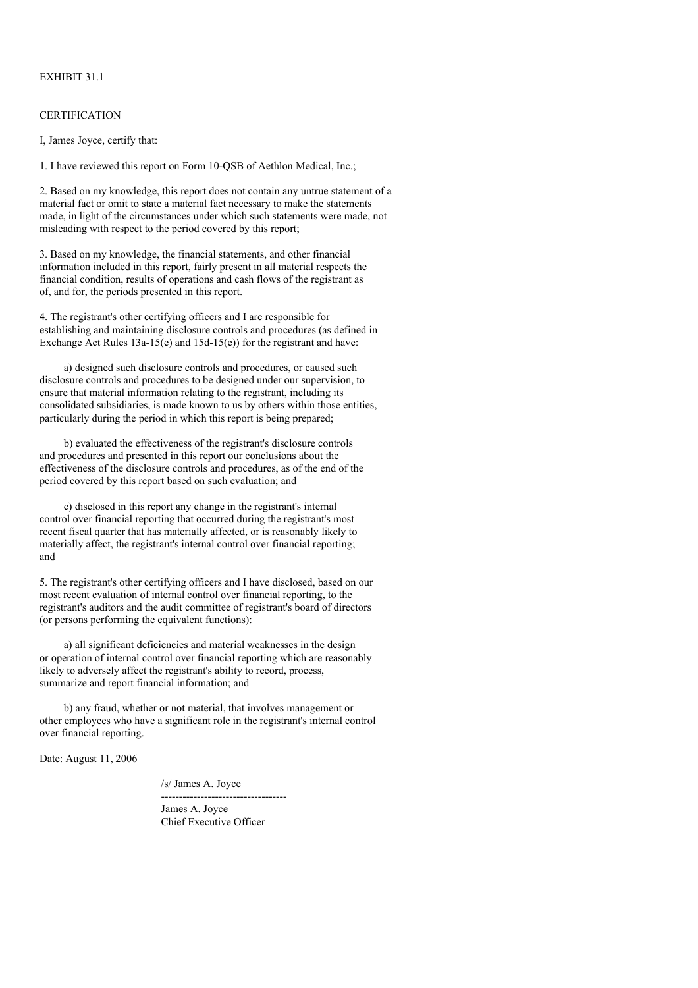# EXHIBIT 31.1

#### **CERTIFICATION**

I, James Joyce, certify that:

1. I have reviewed this report on Form 10-QSB of Aethlon Medical, Inc.;

2. Based on my knowledge, this report does not contain any untrue statement of a material fact or omit to state a material fact necessary to make the statements made, in light of the circumstances under which such statements were made, not misleading with respect to the period covered by this report;

3. Based on my knowledge, the financial statements, and other financial information included in this report, fairly present in all material respects the financial condition, results of operations and cash flows of the registrant as of, and for, the periods presented in this report.

4. The registrant's other certifying officers and I are responsible for establishing and maintaining disclosure controls and procedures (as defined in Exchange Act Rules  $13a-15(e)$  and  $15d-15(e)$ ) for the registrant and have:

a) designed such disclosure controls and procedures, or caused such disclosure controls and procedures to be designed under our supervision, to ensure that material information relating to the registrant, including its consolidated subsidiaries, is made known to us by others within those entities, particularly during the period in which this report is being prepared;

b) evaluated the effectiveness of the registrant's disclosure controls and procedures and presented in this report our conclusions about the effectiveness of the disclosure controls and procedures, as of the end of the period covered by this report based on such evaluation; and

c) disclosed in this report any change in the registrant's internal control over financial reporting that occurred during the registrant's most recent fiscal quarter that has materially affected, or is reasonably likely to materially affect, the registrant's internal control over financial reporting; and

5. The registrant's other certifying officers and I have disclosed, based on our most recent evaluation of internal control over financial reporting, to the registrant's auditors and the audit committee of registrant's board of directors (or persons performing the equivalent functions):

a) all significant deficiencies and material weaknesses in the design or operation of internal control over financial reporting which are reasonably likely to adversely affect the registrant's ability to record, process, summarize and report financial information; and

b) any fraud, whether or not material, that involves management or other employees who have a significant role in the registrant's internal control over financial reporting.

Date: August 11, 2006

/s/ James A. Joyce

 $-$ 

James A. Joyce Chief Executive Officer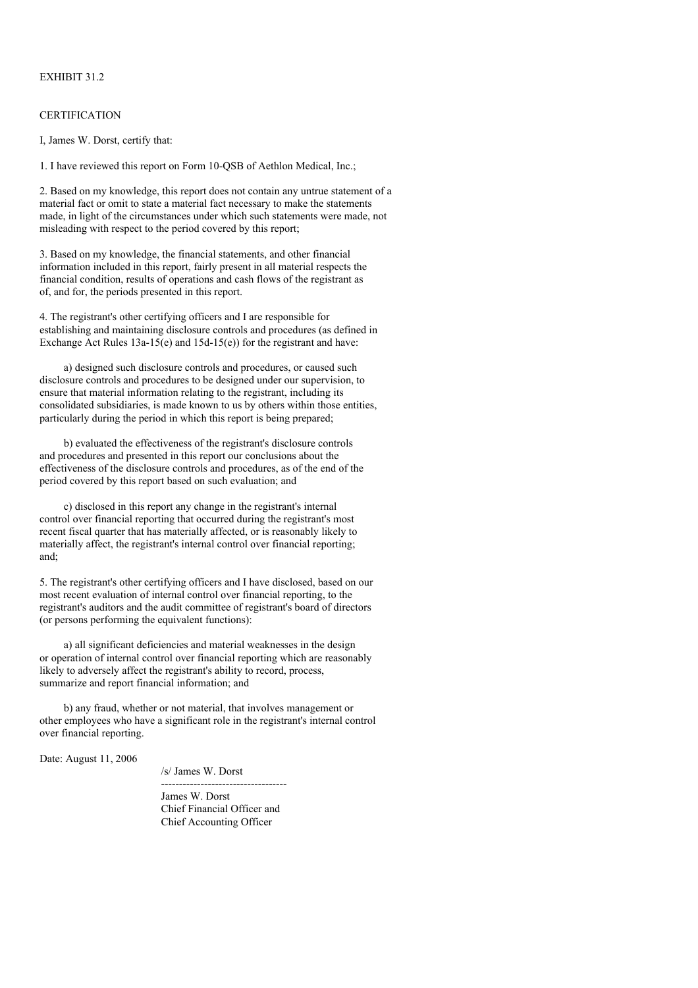# EXHIBIT 31.2

#### **CERTIFICATION**

I, James W. Dorst, certify that:

1. I have reviewed this report on Form 10-QSB of Aethlon Medical, Inc.;

2. Based on my knowledge, this report does not contain any untrue statement of a material fact or omit to state a material fact necessary to make the statements made, in light of the circumstances under which such statements were made, not misleading with respect to the period covered by this report;

3. Based on my knowledge, the financial statements, and other financial information included in this report, fairly present in all material respects the financial condition, results of operations and cash flows of the registrant as of, and for, the periods presented in this report.

4. The registrant's other certifying officers and I are responsible for establishing and maintaining disclosure controls and procedures (as defined in Exchange Act Rules  $13a-15(e)$  and  $15d-15(e)$ ) for the registrant and have:

a) designed such disclosure controls and procedures, or caused such disclosure controls and procedures to be designed under our supervision, to ensure that material information relating to the registrant, including its consolidated subsidiaries, is made known to us by others within those entities, particularly during the period in which this report is being prepared;

b) evaluated the effectiveness of the registrant's disclosure controls and procedures and presented in this report our conclusions about the effectiveness of the disclosure controls and procedures, as of the end of the period covered by this report based on such evaluation; and

c) disclosed in this report any change in the registrant's internal control over financial reporting that occurred during the registrant's most recent fiscal quarter that has materially affected, or is reasonably likely to materially affect, the registrant's internal control over financial reporting; and;

5. The registrant's other certifying officers and I have disclosed, based on our most recent evaluation of internal control over financial reporting, to the registrant's auditors and the audit committee of registrant's board of directors (or persons performing the equivalent functions):

a) all significant deficiencies and material weaknesses in the design or operation of internal control over financial reporting which are reasonably likely to adversely affect the registrant's ability to record, process, summarize and report financial information; and

b) any fraud, whether or not material, that involves management or other employees who have a significant role in the registrant's internal control over financial reporting.

Date: August 11, 2006

/s/ James W. Dorst

----------------------------------- James W. Dorst Chief Financial Officer and Chief Accounting Officer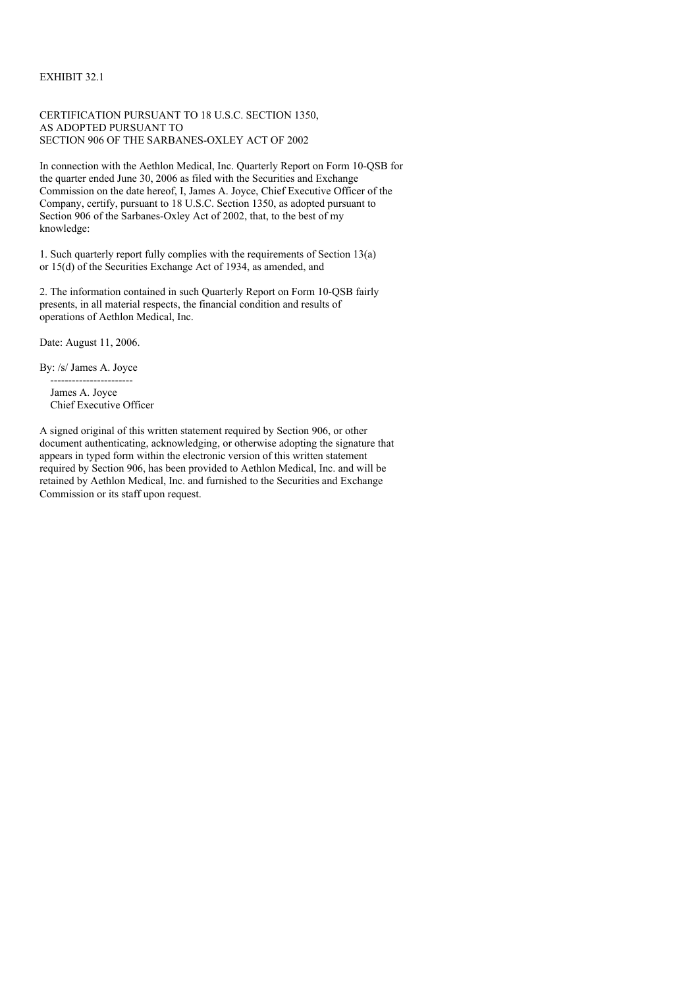# EXHIBIT 32.1

#### CERTIFICATION PURSUANT TO 18 U.S.C. SECTION 1350, AS ADOPTED PURSUANT TO SECTION 906 OF THE SARBANES-OXLEY ACT OF 2002

In connection with the Aethlon Medical, Inc. Quarterly Report on Form 10-QSB for the quarter ended June 30, 2006 as filed with the Securities and Exchange Commission on the date hereof, I, James A. Joyce, Chief Executive Officer of the Company, certify, pursuant to 18 U.S.C. Section 1350, as adopted pursuant to Section 906 of the Sarbanes-Oxley Act of 2002, that, to the best of my knowledge:

1. Such quarterly report fully complies with the requirements of Section 13(a) or 15(d) of the Securities Exchange Act of 1934, as amended, and

2. The information contained in such Quarterly Report on Form 10-QSB fairly presents, in all material respects, the financial condition and results of operations of Aethlon Medical, Inc.

Date: August 11, 2006.

By: /s/ James A. Joyce -----------------------

James A. Joyce Chief Executive Officer

A signed original of this written statement required by Section 906, or other document authenticating, acknowledging, or otherwise adopting the signature that appears in typed form within the electronic version of this written statement required by Section 906, has been provided to Aethlon Medical, Inc. and will be retained by Aethlon Medical, Inc. and furnished to the Securities and Exchange Commission or its staff upon request.